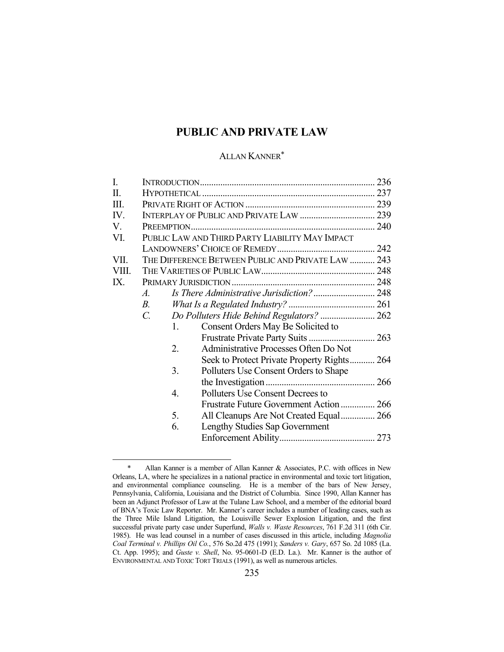# **PUBLIC AND PRIVATE LAW**

# ALLAN KANNER\*

| I.    |                                                 |    |                                                    |  |
|-------|-------------------------------------------------|----|----------------------------------------------------|--|
| Π.    |                                                 |    |                                                    |  |
| Ш.    |                                                 |    |                                                    |  |
| IV.   |                                                 |    |                                                    |  |
| V.    |                                                 |    |                                                    |  |
| VI.   | PUBLIC LAW AND THIRD PARTY LIABILITY MAY IMPACT |    |                                                    |  |
|       |                                                 |    |                                                    |  |
| VII.  |                                                 |    | THE DIFFERENCE BETWEEN PUBLIC AND PRIVATE LAW  243 |  |
| VIII. |                                                 |    |                                                    |  |
| IX.   |                                                 |    |                                                    |  |
|       | $\mathcal{A}_{\cdot}$                           |    |                                                    |  |
|       | <i>B</i> .                                      |    |                                                    |  |
|       | $C_{\cdot}$                                     |    | Do Polluters Hide Behind Regulators?  262          |  |
|       |                                                 | 1. | Consent Orders May Be Solicited to                 |  |
|       |                                                 |    |                                                    |  |
|       | 2.                                              |    | Administrative Processes Often Do Not              |  |
|       |                                                 |    | Seek to Protect Private Property Rights 264        |  |
|       | 3.                                              |    | Polluters Use Consent Orders to Shape              |  |
|       |                                                 |    |                                                    |  |
|       | 4.                                              |    | Polluters Use Consent Decrees to                   |  |
|       |                                                 |    | Frustrate Future Government Action 266             |  |
|       | 5.                                              |    | All Cleanups Are Not Created Equal 266             |  |
|       | 6.                                              |    | Lengthy Studies Sap Government                     |  |
|       |                                                 |    |                                                    |  |
|       |                                                 |    |                                                    |  |

 <sup>\*</sup> Allan Kanner is a member of Allan Kanner & Associates, P.C. with offices in New Orleans, LA, where he specializes in a national practice in environmental and toxic tort litigation, and environmental compliance counseling. He is a member of the bars of New Jersey, Pennsylvania, California, Louisiana and the District of Columbia. Since 1990, Allan Kanner has been an Adjunct Professor of Law at the Tulane Law School, and a member of the editorial board of BNA's Toxic Law Reporter. Mr. Kanner's career includes a number of leading cases, such as the Three Mile Island Litigation, the Louisville Sewer Explosion Litigation, and the first successful private party case under Superfund, *Walls v. Waste Resources*, 761 F.2d 311 (6th Cir. 1985). He was lead counsel in a number of cases discussed in this article, including *Magnolia Coal Terminal v. Phillips Oil Co.*, 576 So.2d 475 (1991); *Sanders v. Gary*, 657 So. 2d 1085 (La. Ct. App. 1995); and *Guste v. Shell*, No. 95-0601-D (E.D. La.). Mr. Kanner is the author of ENVIRONMENTAL AND TOXIC TORT TRIALS (1991), as well as numerous articles.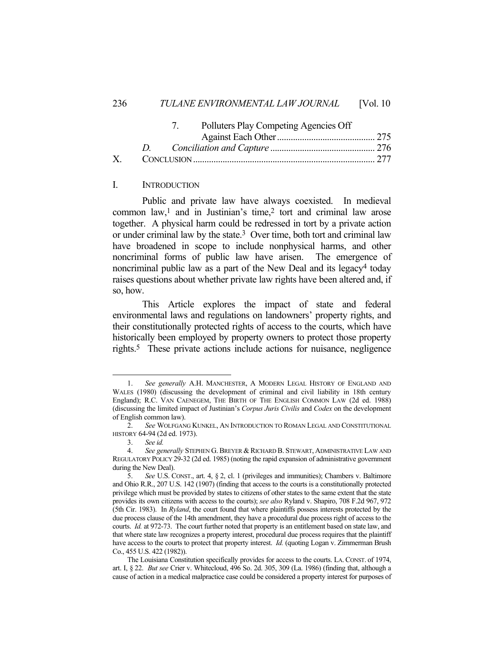## 236 *TULANE ENVIRONMENTAL LAW JOURNAL* [Vol. 10

|    | Polluters Play Competing Agencies Off |  |
|----|---------------------------------------|--|
|    |                                       |  |
|    |                                       |  |
| X. |                                       |  |

## I. INTRODUCTION

 Public and private law have always coexisted. In medieval common law,<sup>1</sup> and in Justinian's time,<sup>2</sup> tort and criminal law arose together. A physical harm could be redressed in tort by a private action or under criminal law by the state.3 Over time, both tort and criminal law have broadened in scope to include nonphysical harms, and other noncriminal forms of public law have arisen. The emergence of noncriminal public law as a part of the New Deal and its legacy4 today raises questions about whether private law rights have been altered and, if so, how.

 This Article explores the impact of state and federal environmental laws and regulations on landowners' property rights, and their constitutionally protected rights of access to the courts, which have historically been employed by property owners to protect those property rights.5 These private actions include actions for nuisance, negligence

 <sup>1.</sup> *See generally* A.H. MANCHESTER, A MODERN LEGAL HISTORY OF ENGLAND AND WALES (1980) (discussing the development of criminal and civil liability in 18th century England); R.C. VAN CAENEGEM, THE BIRTH OF THE ENGLISH COMMON LAW (2d ed. 1988) (discussing the limited impact of Justinian's *Corpus Juris Civilis* and *Codex* on the development of English common law).

 <sup>2.</sup> *See* WOLFGANG KUNKEL, AN INTRODUCTION TO ROMAN LEGAL AND CONSTITUTIONAL HISTORY 64-94 (2d ed. 1973).

 <sup>3.</sup> *See id.*

 <sup>4.</sup> *See generally* STEPHEN G. BREYER & RICHARD B. STEWART, ADMINISTRATIVE LAW AND REGULATORY POLICY 29-32 (2d ed. 1985) (noting the rapid expansion of administrative government during the New Deal).

 <sup>5.</sup> *See* U.S. CONST., art. 4, § 2, cl. 1 (privileges and immunities); Chambers v. Baltimore and Ohio R.R., 207 U.S. 142 (1907) (finding that access to the courts is a constitutionally protected privilege which must be provided by states to citizens of other states to the same extent that the state provides its own citizens with access to the courts); *see also* Ryland v. Shapiro, 708 F.2d 967, 972 (5th Cir. 1983). In *Ryland*, the court found that where plaintiffs possess interests protected by the due process clause of the 14th amendment, they have a procedural due process right of access to the courts. *Id.* at 972-73. The court further noted that property is an entitlement based on state law, and that where state law recognizes a property interest, procedural due process requires that the plaintiff have access to the courts to protect that property interest. *Id.* (quoting Logan v. Zimmerman Brush Co., 455 U.S. 422 (1982)).

The Louisiana Constitution specifically provides for access to the courts. LA. CONST. of 1974, art. I, § 22. *But see* Crier v. Whitecloud, 496 So. 2d. 305, 309 (La. 1986) (finding that, although a cause of action in a medical malpractice case could be considered a property interest for purposes of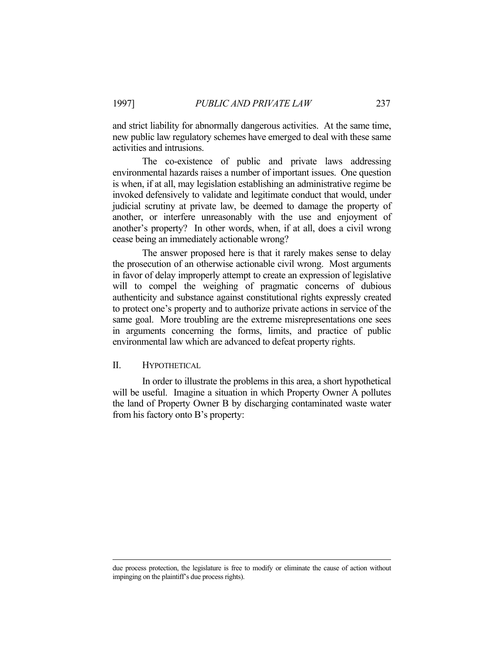and strict liability for abnormally dangerous activities. At the same time, new public law regulatory schemes have emerged to deal with these same activities and intrusions.

 The co-existence of public and private laws addressing environmental hazards raises a number of important issues. One question is when, if at all, may legislation establishing an administrative regime be invoked defensively to validate and legitimate conduct that would, under judicial scrutiny at private law, be deemed to damage the property of another, or interfere unreasonably with the use and enjoyment of another's property? In other words, when, if at all, does a civil wrong cease being an immediately actionable wrong?

 The answer proposed here is that it rarely makes sense to delay the prosecution of an otherwise actionable civil wrong. Most arguments in favor of delay improperly attempt to create an expression of legislative will to compel the weighing of pragmatic concerns of dubious authenticity and substance against constitutional rights expressly created to protect one's property and to authorize private actions in service of the same goal. More troubling are the extreme misrepresentations one sees in arguments concerning the forms, limits, and practice of public environmental law which are advanced to defeat property rights.

## II. HYPOTHETICAL

 In order to illustrate the problems in this area, a short hypothetical will be useful. Imagine a situation in which Property Owner A pollutes the land of Property Owner B by discharging contaminated waste water from his factory onto B's property:

due process protection, the legislature is free to modify or eliminate the cause of action without impinging on the plaintiff's due process rights).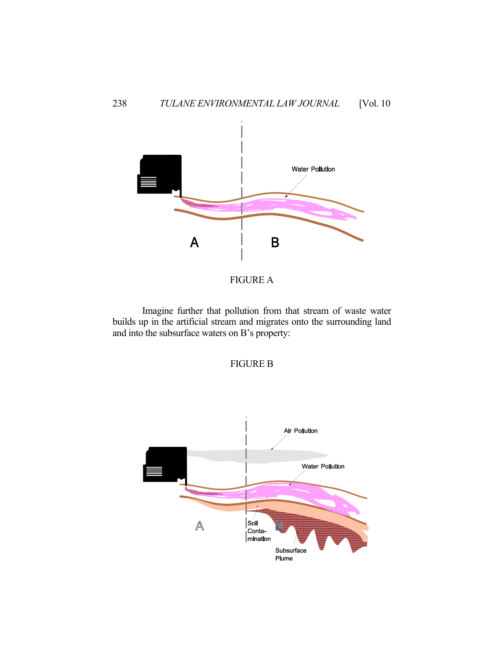



 Imagine further that pollution from that stream of waste water builds up in the artificial stream and migrates onto the surrounding land and into the subsurface waters on B's property:



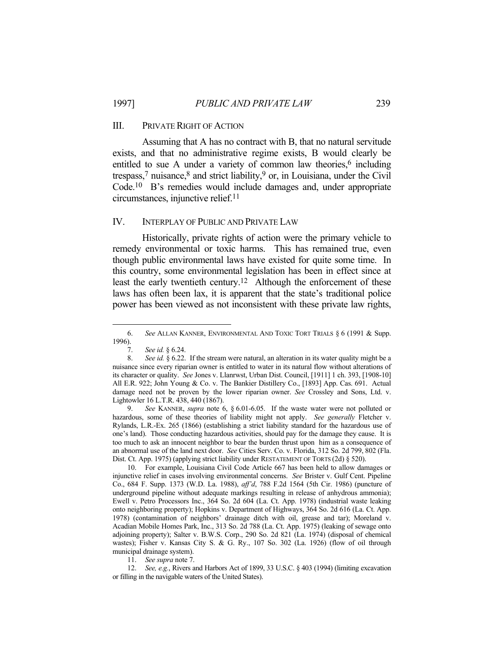#### III. PRIVATE RIGHT OF ACTION

 Assuming that A has no contract with B, that no natural servitude exists, and that no administrative regime exists, B would clearly be entitled to sue A under a variety of common law theories,<sup>6</sup> including trespass,<sup>7</sup> nuisance,<sup>8</sup> and strict liability,<sup>9</sup> or, in Louisiana, under the Civil Code.10 B's remedies would include damages and, under appropriate circumstances, injunctive relief.11

### IV. INTERPLAY OF PUBLIC AND PRIVATE LAW

 Historically, private rights of action were the primary vehicle to remedy environmental or toxic harms. This has remained true, even though public environmental laws have existed for quite some time. In this country, some environmental legislation has been in effect since at least the early twentieth century.<sup>12</sup> Although the enforcement of these laws has often been lax, it is apparent that the state's traditional police power has been viewed as not inconsistent with these private law rights,

 <sup>6.</sup> *See* ALLAN KANNER, ENVIRONMENTAL AND TOXIC TORT TRIALS § 6 (1991 & Supp. 1996).

 <sup>7.</sup> *See id.* § 6.24.

 <sup>8.</sup> *See id.* § 6.22. If the stream were natural, an alteration in its water quality might be a nuisance since every riparian owner is entitled to water in its natural flow without alterations of its character or quality. *See* Jones v. Llanrwst, Urban Dist. Council, [1911] 1 ch. 393, [1908-10] All E.R. 922; John Young & Co. v. The Bankier Distillery Co., [1893] App. Cas. 691. Actual damage need not be proven by the lower riparian owner. *See* Crossley and Sons, Ltd. v. Lightowler 16 L.T.R. 438, 440 (1867).

 <sup>9.</sup> *See* KANNER, *supra* note 6, § 6.01-6.05. If the waste water were not polluted or hazardous, some of these theories of liability might not apply. *See generally* Fletcher v. Rylands, L.R.-Ex. 265 (1866) (establishing a strict liability standard for the hazardous use of one's land). Those conducting hazardous activities, should pay for the damage they cause. It is too much to ask an innocent neighbor to bear the burden thrust upon him as a consequence of an abnormal use of the land next door. *See* Cities Serv. Co. v. Florida, 312 So. 2d 799, 802 (Fla. Dist. Ct. App. 1975) (applying strict liability under RESTATEMENT OF TORTS (2d) § 520).

 <sup>10.</sup> For example, Louisiana Civil Code Article 667 has been held to allow damages or injunctive relief in cases involving environmental concerns. *See* Brister v. Gulf Cent. Pipeline Co., 684 F. Supp. 1373 (W.D. La. 1988), *aff'd*, 788 F.2d 1564 (5th Cir. 1986) (puncture of underground pipeline without adequate markings resulting in release of anhydrous ammonia); Ewell v. Petro Processors Inc., 364 So. 2d 604 (La. Ct. App. 1978) (industrial waste leaking onto neighboring property); Hopkins v. Department of Highways, 364 So. 2d 616 (La. Ct. App. 1978) (contamination of neighbors' drainage ditch with oil, grease and tar); Moreland v. Acadian Mobile Homes Park, Inc., 313 So. 2d 788 (La. Ct. App. 1975) (leaking of sewage onto adjoining property); Salter v. B.W.S. Corp., 290 So. 2d 821 (La. 1974) (disposal of chemical wastes); Fisher v. Kansas City S. & G. Ry., 107 So. 302 (La. 1926) (flow of oil through municipal drainage system).

 <sup>11.</sup> *See supra* note 7.

 <sup>12.</sup> *See, e.g.*, Rivers and Harbors Act of 1899, 33 U.S.C. § 403 (1994) (limiting excavation or filling in the navigable waters of the United States).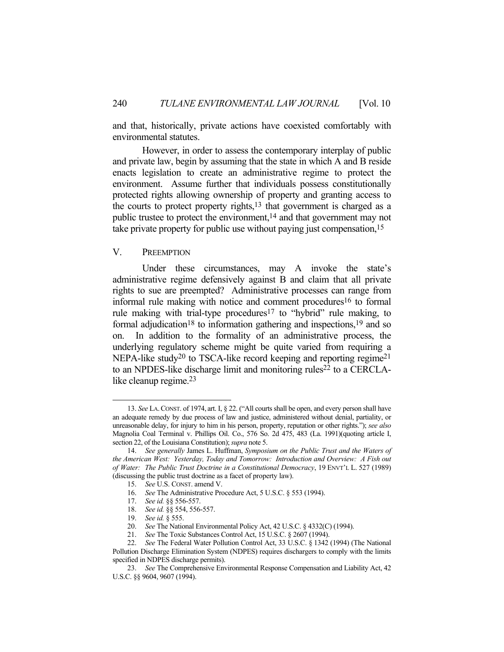and that, historically, private actions have coexisted comfortably with environmental statutes.

 However, in order to assess the contemporary interplay of public and private law, begin by assuming that the state in which A and B reside enacts legislation to create an administrative regime to protect the environment. Assume further that individuals possess constitutionally protected rights allowing ownership of property and granting access to the courts to protect property rights, $13$  that government is charged as a public trustee to protect the environment,14 and that government may not take private property for public use without paying just compensation,<sup>15</sup>

#### V. PREEMPTION

Under these circumstances, may A invoke the state's administrative regime defensively against B and claim that all private rights to sue are preempted? Administrative processes can range from informal rule making with notice and comment procedures<sup>16</sup> to formal rule making with trial-type procedures<sup>17</sup> to "hybrid" rule making, to formal adjudication<sup>18</sup> to information gathering and inspections,<sup>19</sup> and so on. In addition to the formality of an administrative process, the underlying regulatory scheme might be quite varied from requiring a NEPA-like study<sup>20</sup> to TSCA-like record keeping and reporting regime<sup>21</sup> to an NPDES-like discharge limit and monitoring rules<sup>22</sup> to a CERCLAlike cleanup regime.23

 <sup>13.</sup> *See* LA.CONST. of 1974, art. I, § 22. ("All courts shall be open, and every person shall have an adequate remedy by due process of law and justice, administered without denial, partiality, or unreasonable delay, for injury to him in his person, property, reputation or other rights."); *see also*  Magnolia Coal Terminal v. Phillips Oil. Co., 576 So. 2d 475, 483 (La. 1991)(quoting article I, section 22, of the Louisiana Constitution); *supra* note 5.

 <sup>14.</sup> *See generally* James L. Huffman, *Symposium on the Public Trust and the Waters of the American West: Yesterday, Today and Tomorrow: Introduction and Overview: A Fish out of Water: The Public Trust Doctrine in a Constitutional Democracy*, 19 ENVT'L L. 527 (1989) (discussing the public trust doctrine as a facet of property law).

 <sup>15.</sup> *See* U.S. CONST. amend V.

 <sup>16.</sup> *See* The Administrative Procedure Act, 5 U.S.C. § 553 (1994).

 <sup>17.</sup> *See id.* §§ 556-557.

 <sup>18.</sup> *See id.* §§ 554, 556-557.

 <sup>19.</sup> *See id.* § 555.

 <sup>20.</sup> *See* The National Environmental Policy Act, 42 U.S.C. § 4332(C) (1994).

 <sup>21.</sup> *See* The Toxic Substances Control Act, 15 U.S.C. § 2607 (1994).

 <sup>22.</sup> *See* The Federal Water Pollution Control Act, 33 U.S.C. § 1342 (1994) (The National Pollution Discharge Elimination System (NDPES) requires dischargers to comply with the limits specified in NDPES discharge permits).

 <sup>23.</sup> *See* The Comprehensive Environmental Response Compensation and Liability Act, 42 U.S.C. §§ 9604, 9607 (1994).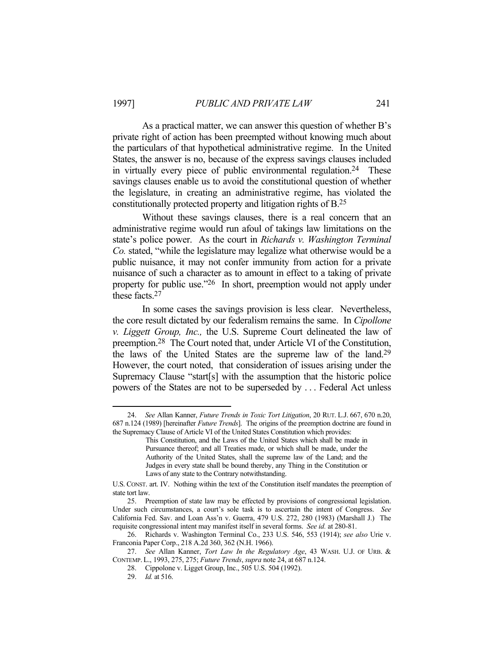As a practical matter, we can answer this question of whether B's private right of action has been preempted without knowing much about the particulars of that hypothetical administrative regime. In the United States, the answer is no, because of the express savings clauses included in virtually every piece of public environmental regulation.<sup>24</sup> These savings clauses enable us to avoid the constitutional question of whether the legislature, in creating an administrative regime, has violated the constitutionally protected property and litigation rights of B.25

 Without these savings clauses, there is a real concern that an administrative regime would run afoul of takings law limitations on the state's police power. As the court in *Richards v. Washington Terminal Co.* stated, "while the legislature may legalize what otherwise would be a public nuisance, it may not confer immunity from action for a private nuisance of such a character as to amount in effect to a taking of private property for public use."26 In short, preemption would not apply under these facts.27

 In some cases the savings provision is less clear. Nevertheless, the core result dictated by our federalism remains the same. In *Cipollone v. Liggett Group, Inc.,* the U.S. Supreme Court delineated the law of preemption.28 The Court noted that, under Article VI of the Constitution, the laws of the United States are the supreme law of the land.29 However, the court noted, that consideration of issues arising under the Supremacy Clause "start[s] with the assumption that the historic police powers of the States are not to be superseded by . . . Federal Act unless

 <sup>24.</sup> *See* Allan Kanner, *Future Trends in Toxic Tort Litigation*, 20 RUT. L.J. 667, 670 n.20, 687 n.124 (1989) [hereinafter *Future Trends*]. The origins of the preemption doctrine are found in the Supremacy Clause of Article VI of the United States Constitution which provides:

This Constitution, and the Laws of the United States which shall be made in Pursuance thereof; and all Treaties made, or which shall be made, under the Authority of the United States, shall the supreme law of the Land; and the Judges in every state shall be bound thereby, any Thing in the Constitution or Laws of any state to the Contrary notwithstanding.

U.S. CONST. art. IV. Nothing within the text of the Constitution itself mandates the preemption of state tort law.

 <sup>25.</sup> Preemption of state law may be effected by provisions of congressional legislation. Under such circumstances, a court's sole task is to ascertain the intent of Congress. *See*  California Fed. Sav. and Loan Ass'n v. Guerra, 479 U.S. 272, 280 (1983) (Marshall J.) The requisite congressional intent may manifest itself in several forms. *See id.* at 280-81.

 <sup>26.</sup> Richards v. Washington Terminal Co., 233 U.S. 546, 553 (1914); *see also* Urie v. Franconia Paper Corp., 218 A.2d 360, 362 (N.H. 1966).

 <sup>27.</sup> *See* Allan Kanner, *Tort Law In the Regulatory Age*, 43 WASH. U.J. OF URB. & CONTEMP. L., 1993, 275, 275; *Future Trends*, *supra* note 24, at 687 n.124.

 <sup>28.</sup> Cippolone v. Ligget Group, Inc., 505 U.S. 504 (1992).

 <sup>29.</sup> *Id.* at 516.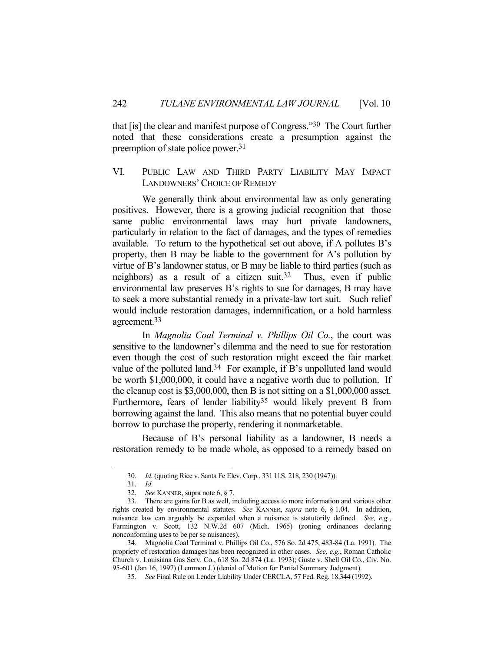that [is] the clear and manifest purpose of Congress."30 The Court further noted that these considerations create a presumption against the preemption of state police power.31

## VI. PUBLIC LAW AND THIRD PARTY LIABILITY MAY IMPACT LANDOWNERS'CHOICE OF REMEDY

 We generally think about environmental law as only generating positives. However, there is a growing judicial recognition that those same public environmental laws may hurt private landowners, particularly in relation to the fact of damages, and the types of remedies available. To return to the hypothetical set out above, if A pollutes B's property, then B may be liable to the government for A's pollution by virtue of B's landowner status, or B may be liable to third parties (such as neighbors) as a result of a citizen suit.<sup>32</sup> Thus, even if public environmental law preserves B's rights to sue for damages, B may have to seek a more substantial remedy in a private-law tort suit. Such relief would include restoration damages, indemnification, or a hold harmless agreement.33

 In *Magnolia Coal Terminal v. Phillips Oil Co.*, the court was sensitive to the landowner's dilemma and the need to sue for restoration even though the cost of such restoration might exceed the fair market value of the polluted land.34 For example, if B's unpolluted land would be worth \$1,000,000, it could have a negative worth due to pollution. If the cleanup cost is \$3,000,000, then B is not sitting on a \$1,000,000 asset. Furthermore, fears of lender liability<sup>35</sup> would likely prevent B from borrowing against the land. This also means that no potential buyer could borrow to purchase the property, rendering it nonmarketable.

 Because of B's personal liability as a landowner, B needs a restoration remedy to be made whole, as opposed to a remedy based on

 <sup>30.</sup> *Id.* (quoting Rice v. Santa Fe Elev. Corp., 331 U.S. 218, 230 (1947)).

 <sup>31.</sup> *Id.*

 <sup>32.</sup> *See* KANNER, supra note 6, § 7.

 <sup>33.</sup> There are gains for B as well, including access to more information and various other rights created by environmental statutes. *See* KANNER, *supra* note 6, § 1.04. In addition, nuisance law can arguably be expanded when a nuisance is statutorily defined. *See, e.g.*, Farmington v. Scott, 132 N.W.2d 607 (Mich. 1965) (zoning ordinances declaring nonconforming uses to be per se nuisances).

 <sup>34.</sup> Magnolia Coal Terminal v. Phillips Oil Co., 576 So. 2d 475, 483-84 (La. 1991). The propriety of restoration damages has been recognized in other cases. *See, e.g.*, Roman Catholic Church v. Louisiana Gas Serv. Co., 618 So. 2d 874 (La. 1993); Guste v. Shell Oil Co., Civ. No. 95-601 (Jan 16, 1997) (Lemmon J.) (denial of Motion for Partial Summary Judgment).

 <sup>35.</sup> *See* Final Rule on Lender Liability Under CERCLA, 57 Fed. Reg. 18,344 (1992).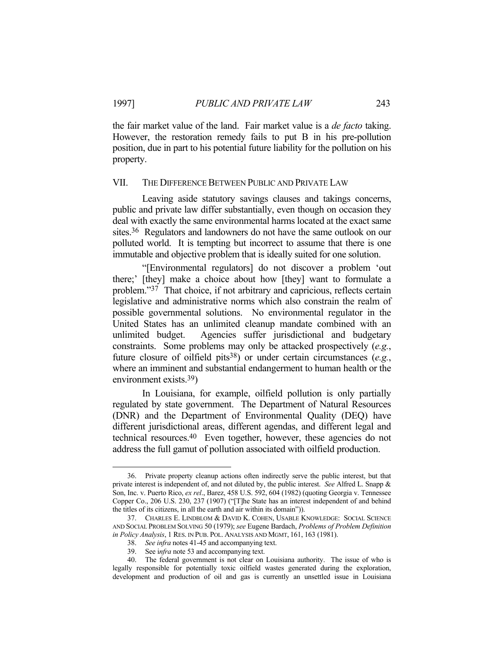<u>.</u>

the fair market value of the land. Fair market value is a *de facto* taking. However, the restoration remedy fails to put B in his pre-pollution position, due in part to his potential future liability for the pollution on his property.

## VII. THE DIFFERENCE BETWEEN PUBLIC AND PRIVATE LAW

 Leaving aside statutory savings clauses and takings concerns, public and private law differ substantially, even though on occasion they deal with exactly the same environmental harms located at the exact same sites.36 Regulators and landowners do not have the same outlook on our polluted world. It is tempting but incorrect to assume that there is one immutable and objective problem that is ideally suited for one solution.

 "[Environmental regulators] do not discover a problem 'out there;' [they] make a choice about how [they] want to formulate a problem."<sup>37</sup> That choice, if not arbitrary and capricious, reflects certain legislative and administrative norms which also constrain the realm of possible governmental solutions. No environmental regulator in the United States has an unlimited cleanup mandate combined with an unlimited budget. Agencies suffer jurisdictional and budgetary constraints. Some problems may only be attacked prospectively (*e.g.*, future closure of oilfield pits38) or under certain circumstances (*e.g.*, where an imminent and substantial endangerment to human health or the environment exists.39)

 In Louisiana, for example, oilfield pollution is only partially regulated by state government. The Department of Natural Resources (DNR) and the Department of Environmental Quality (DEQ) have different jurisdictional areas, different agendas, and different legal and technical resources.40 Even together, however, these agencies do not address the full gamut of pollution associated with oilfield production.

 <sup>36.</sup> Private property cleanup actions often indirectly serve the public interest, but that private interest is independent of, and not diluted by, the public interest. *See* Alfred L. Snapp & Son, Inc. v. Puerto Rico, *ex rel*., Barez, 458 U.S. 592, 604 (1982) (quoting Georgia v. Tennessee Copper Co., 206 U.S. 230, 237 (1907) ("[T]he State has an interest independent of and behind the titles of its citizens, in all the earth and air within its domain")).

 <sup>37.</sup> CHARLES E. LINDBLOM & DAVID K. COHEN, USABLE KNOWLEDGE: SOCIAL SCIENCE AND SOCIAL PROBLEM SOLVING 50 (1979); *see* Eugene Bardach, *Problems of Problem Definition in Policy Analysis*, 1 RES. IN PUB. POL. ANALYSIS AND MGMT, 161, 163 (1981).

 <sup>38.</sup> *See infra* notes 41-45 and accompanying text.

 <sup>39.</sup> See i*nfra* note 53 and accompanying text.

 <sup>40.</sup> The federal government is not clear on Louisiana authority. The issue of who is legally responsible for potentially toxic oilfield wastes generated during the exploration, development and production of oil and gas is currently an unsettled issue in Louisiana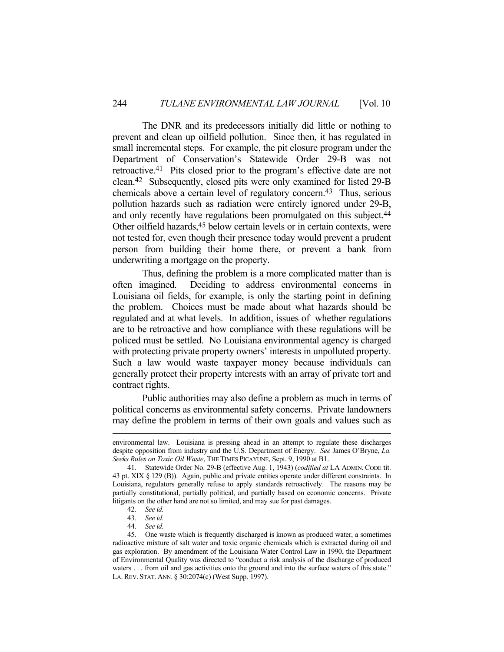The DNR and its predecessors initially did little or nothing to prevent and clean up oilfield pollution. Since then, it has regulated in small incremental steps. For example, the pit closure program under the Department of Conservation's Statewide Order 29-B was not retroactive.41 Pits closed prior to the program's effective date are not clean.42 Subsequently, closed pits were only examined for listed 29-B chemicals above a certain level of regulatory concern.43 Thus, serious pollution hazards such as radiation were entirely ignored under 29-B, and only recently have regulations been promulgated on this subject.<sup>44</sup> Other oilfield hazards,<sup>45</sup> below certain levels or in certain contexts, were not tested for, even though their presence today would prevent a prudent person from building their home there, or prevent a bank from underwriting a mortgage on the property.

 Thus, defining the problem is a more complicated matter than is often imagined. Deciding to address environmental concerns in Louisiana oil fields, for example, is only the starting point in defining the problem. Choices must be made about what hazards should be regulated and at what levels. In addition, issues of whether regulations are to be retroactive and how compliance with these regulations will be policed must be settled. No Louisiana environmental agency is charged with protecting private property owners' interests in unpolluted property. Such a law would waste taxpayer money because individuals can generally protect their property interests with an array of private tort and contract rights.

 Public authorities may also define a problem as much in terms of political concerns as environmental safety concerns. Private landowners may define the problem in terms of their own goals and values such as

environmental law. Louisiana is pressing ahead in an attempt to regulate these discharges despite opposition from industry and the U.S. Department of Energy. *See* James O'Bryne, *La. Seeks Rules on Toxic Oil Waste*, THE TIMES PICAYUNE, Sept. 9, 1990 at B1.

 <sup>41.</sup> Statewide Order No. 29-B (effective Aug. 1, 1943) (*codified at* LA ADMIN. CODE tit. 43 pt. XIX § 129 (B)). Again, public and private entities operate under different constraints. In Louisiana, regulators generally refuse to apply standards retroactively. The reasons may be partially constitutional, partially political, and partially based on economic concerns. Private litigants on the other hand are not so limited, and may sue for past damages.

 <sup>42.</sup> *See id.*

 <sup>43.</sup> *See id.*

 <sup>44.</sup> *See id.*

 <sup>45.</sup> One waste which is frequently discharged is known as produced water, a sometimes radioactive mixture of salt water and toxic organic chemicals which is extracted during oil and gas exploration. By amendment of the Louisiana Water Control Law in 1990, the Department of Environmental Quality was directed to "conduct a risk analysis of the discharge of produced waters . . . from oil and gas activities onto the ground and into the surface waters of this state." LA. REV. STAT. ANN. § 30:2074(c) (West Supp. 1997).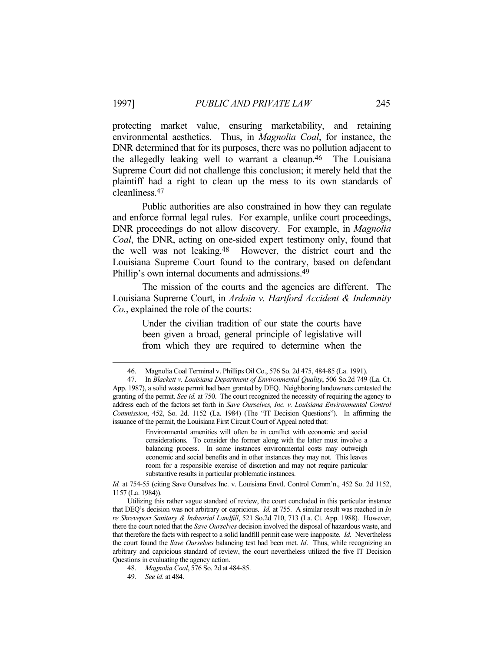protecting market value, ensuring marketability, and retaining environmental aesthetics. Thus, in *Magnolia Coal*, for instance, the DNR determined that for its purposes, there was no pollution adjacent to the allegedly leaking well to warrant a cleanup.46 The Louisiana Supreme Court did not challenge this conclusion; it merely held that the plaintiff had a right to clean up the mess to its own standards of cleanliness.47

 Public authorities are also constrained in how they can regulate and enforce formal legal rules. For example, unlike court proceedings, DNR proceedings do not allow discovery. For example, in *Magnolia Coal*, the DNR, acting on one-sided expert testimony only, found that the well was not leaking.48 However, the district court and the Louisiana Supreme Court found to the contrary, based on defendant Phillip's own internal documents and admissions.49

 The mission of the courts and the agencies are different. The Louisiana Supreme Court, in *Ardoin v. Hartford Accident & Indemnity Co.*, explained the role of the courts:

> Under the civilian tradition of our state the courts have been given a broad, general principle of legislative will from which they are required to determine when the

 <sup>46.</sup> Magnolia Coal Terminal v. Phillips Oil Co., 576 So. 2d 475, 484-85 (La. 1991).

 <sup>47.</sup> In *Blackett v. Louisiana Department of Environmental Quality*, 506 So.2d 749 (La. Ct. App. 1987), a solid waste permit had been granted by DEQ. Neighboring landowners contested the granting of the permit. *See id.* at 750. The court recognized the necessity of requiring the agency to address each of the factors set forth in *Save Ourselves, Inc. v. Louisiana Environmental Control Commission*, 452, So. 2d. 1152 (La. 1984) (The "IT Decision Questions"). In affirming the issuance of the permit, the Louisiana First Circuit Court of Appeal noted that:

Environmental amenities will often be in conflict with economic and social considerations. To consider the former along with the latter must involve a balancing process. In some instances environmental costs may outweigh economic and social benefits and in other instances they may not. This leaves room for a responsible exercise of discretion and may not require particular substantive results in particular problematic instances.

*Id.* at 754-55 (citing Save Ourselves Inc. v. Louisiana Envtl. Control Comm'n., 452 So. 2d 1152, 1157 (La. 1984)).

Utilizing this rather vague standard of review, the court concluded in this particular instance that DEQ's decision was not arbitrary or capricious. *Id.* at 755. A similar result was reached in *In re Shreveport Sanitary & Industrial Landfill*, 521 So.2d 710, 713 (La. Ct. App. 1988). However, there the court noted that the *Save Ourselves* decision involved the disposal of hazardous waste, and that therefore the facts with respect to a solid landfill permit case were inapposite. *Id.* Nevertheless the court found the *Save Ourselves* balancing test had been met. *Id*. Thus, while recognizing an arbitrary and capricious standard of review, the court nevertheless utilized the five IT Decision Questions in evaluating the agency action.

 <sup>48.</sup> *Magnolia Coal*, 576 So. 2d at 484-85.

 <sup>49.</sup> *See id.* at 484.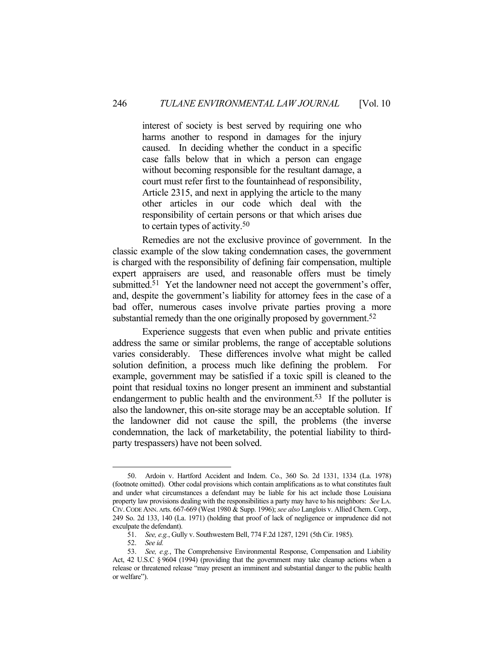interest of society is best served by requiring one who harms another to respond in damages for the injury caused. In deciding whether the conduct in a specific case falls below that in which a person can engage without becoming responsible for the resultant damage, a court must refer first to the fountainhead of responsibility, Article 2315, and next in applying the article to the many other articles in our code which deal with the responsibility of certain persons or that which arises due to certain types of activity.50

 Remedies are not the exclusive province of government. In the classic example of the slow taking condemnation cases, the government is charged with the responsibility of defining fair compensation, multiple expert appraisers are used, and reasonable offers must be timely submitted.<sup>51</sup> Yet the landowner need not accept the government's offer, and, despite the government's liability for attorney fees in the case of a bad offer, numerous cases involve private parties proving a more substantial remedy than the one originally proposed by government.<sup>52</sup>

 Experience suggests that even when public and private entities address the same or similar problems, the range of acceptable solutions varies considerably. These differences involve what might be called solution definition, a process much like defining the problem. For example, government may be satisfied if a toxic spill is cleaned to the point that residual toxins no longer present an imminent and substantial endangerment to public health and the environment.<sup>53</sup> If the polluter is also the landowner, this on-site storage may be an acceptable solution. If the landowner did not cause the spill, the problems (the inverse condemnation, the lack of marketability, the potential liability to thirdparty trespassers) have not been solved.

 <sup>50.</sup> Ardoin v. Hartford Accident and Indem. Co., 360 So. 2d 1331, 1334 (La. 1978) (footnote omitted). Other codal provisions which contain amplifications as to what constitutes fault and under what circumstances a defendant may be liable for his act include those Louisiana property law provisions dealing with the responsibilities a party may have to his neighbors: *See* LA. CIV.CODE ANN. Arts. 667-669 (West 1980 & Supp. 1996); *see also* Langlois v. Allied Chem. Corp., 249 So. 2d 133, 140 (La. 1971) (holding that proof of lack of negligence or imprudence did not exculpate the defendant).

 <sup>51.</sup> *See, e.g.*, Gully v. Southwestern Bell, 774 F.2d 1287, 1291 (5th Cir. 1985).

 <sup>52.</sup> *See id.*

 <sup>53.</sup> *See, e.g.*, The Comprehensive Environmental Response, Compensation and Liability Act, 42 U.S.C § 9604 (1994) (providing that the government may take cleanup actions when a release or threatened release "may present an imminent and substantial danger to the public health or welfare").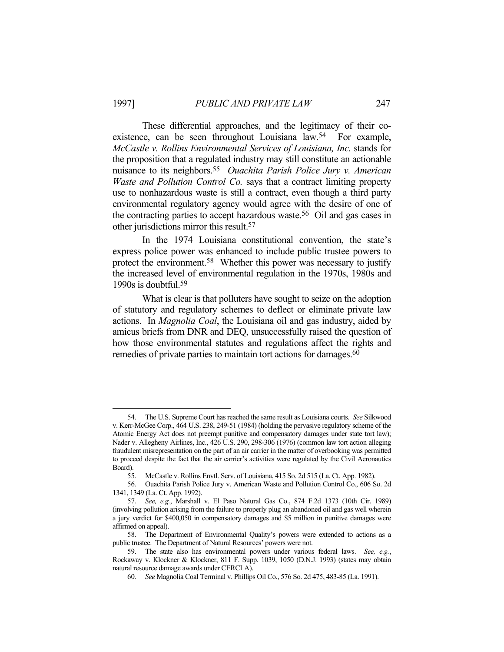These differential approaches, and the legitimacy of their coexistence, can be seen throughout Louisiana law.54 For example, *McCastle v. Rollins Environmental Services of Louisiana, Inc.* stands for the proposition that a regulated industry may still constitute an actionable nuisance to its neighbors.55 *Ouachita Parish Police Jury v. American Waste and Pollution Control Co.* says that a contract limiting property use to nonhazardous waste is still a contract, even though a third party environmental regulatory agency would agree with the desire of one of the contracting parties to accept hazardous waste.56 Oil and gas cases in other jurisdictions mirror this result.57

 In the 1974 Louisiana constitutional convention, the state's express police power was enhanced to include public trustee powers to protect the environment.58 Whether this power was necessary to justify the increased level of environmental regulation in the 1970s, 1980s and 1990s is doubtful.59

 What is clear is that polluters have sought to seize on the adoption of statutory and regulatory schemes to deflect or eliminate private law actions. In *Magnolia Coal*, the Louisiana oil and gas industry, aided by amicus briefs from DNR and DEQ, unsuccessfully raised the question of how those environmental statutes and regulations affect the rights and remedies of private parties to maintain tort actions for damages.<sup>60</sup>

 <sup>54.</sup> The U.S. Supreme Court has reached the same result as Louisiana courts. *See* Silkwood v. Kerr-McGee Corp., 464 U.S. 238, 249-51 (1984) (holding the pervasive regulatory scheme of the Atomic Energy Act does not preempt punitive and compensatory damages under state tort law); Nader v. Allegheny Airlines, Inc., 426 U.S. 290, 298-306 (1976) (common law tort action alleging fraudulent misrepresentation on the part of an air carrier in the matter of overbooking was permitted to proceed despite the fact that the air carrier's activities were regulated by the Civil Aeronautics Board).

 <sup>55.</sup> McCastle v. Rollins Envtl. Serv. of Louisiana, 415 So. 2d 515 (La. Ct. App. 1982).

 <sup>56.</sup> Ouachita Parish Police Jury v. American Waste and Pollution Control Co., 606 So. 2d 1341, 1349 (La. Ct. App. 1992).

 <sup>57.</sup> *See, e.g.*, Marshall v. El Paso Natural Gas Co., 874 F.2d 1373 (10th Cir. 1989) (involving pollution arising from the failure to properly plug an abandoned oil and gas well wherein a jury verdict for \$400,050 in compensatory damages and \$5 million in punitive damages were affirmed on appeal).

 <sup>58.</sup> The Department of Environmental Quality's powers were extended to actions as a public trustee. The Department of Natural Resources' powers were not.

 <sup>59.</sup> The state also has environmental powers under various federal laws. *See, e.g.*, Rockaway v. Klockner & Klockner, 811 F. Supp. 1039, 1050 (D.N.J. 1993) (states may obtain natural resource damage awards under CERCLA).

 <sup>60.</sup> *See* Magnolia Coal Terminal v. Phillips Oil Co., 576 So. 2d 475, 483-85 (La. 1991).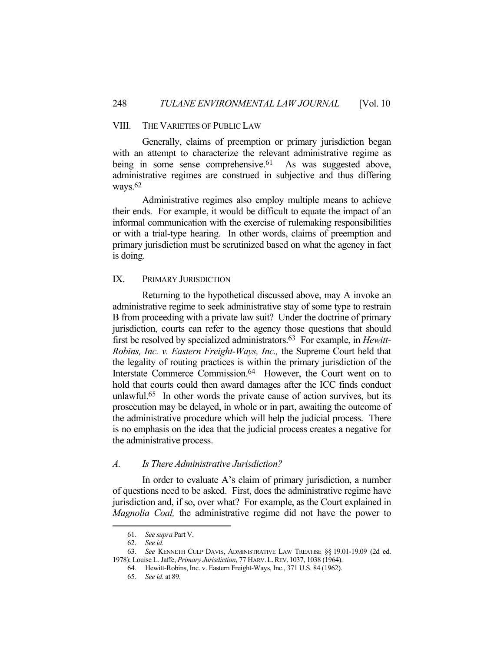## VIII. THE VARIETIES OF PUBLIC LAW

 Generally, claims of preemption or primary jurisdiction began with an attempt to characterize the relevant administrative regime as being in some sense comprehensive. $61$  As was suggested above, administrative regimes are construed in subjective and thus differing ways.62

 Administrative regimes also employ multiple means to achieve their ends. For example, it would be difficult to equate the impact of an informal communication with the exercise of rulemaking responsibilities or with a trial-type hearing. In other words, claims of preemption and primary jurisdiction must be scrutinized based on what the agency in fact is doing.

## IX. PRIMARY JURISDICTION

 Returning to the hypothetical discussed above, may A invoke an administrative regime to seek administrative stay of some type to restrain B from proceeding with a private law suit? Under the doctrine of primary jurisdiction, courts can refer to the agency those questions that should first be resolved by specialized administrators.63 For example, in *Hewitt-Robins, Inc. v. Eastern Freight-Ways, Inc.,* the Supreme Court held that the legality of routing practices is within the primary jurisdiction of the Interstate Commerce Commission.64 However, the Court went on to hold that courts could then award damages after the ICC finds conduct unlawful.65 In other words the private cause of action survives, but its prosecution may be delayed, in whole or in part, awaiting the outcome of the administrative procedure which will help the judicial process. There is no emphasis on the idea that the judicial process creates a negative for the administrative process.

#### *A. Is There Administrative Jurisdiction?*

 In order to evaluate A's claim of primary jurisdiction, a number of questions need to be asked. First, does the administrative regime have jurisdiction and, if so, over what? For example, as the Court explained in *Magnolia Coal,* the administrative regime did not have the power to

 <sup>61.</sup> *See supra* Part V.

 <sup>62.</sup> *See id.*

 <sup>63.</sup> *See* KENNETH CULP DAVIS, ADMINISTRATIVE LAW TREATISE §§ 19.01-19.09 (2d ed. 1978); Louise L. Jaffe, *Primary Jurisdiction*, 77 HARV.L.REV. 1037, 1038 (1964).

 <sup>64.</sup> Hewitt-Robins, Inc. v. Eastern Freight-Ways, Inc., 371 U.S. 84 (1962).

 <sup>65.</sup> *See id.* at 89.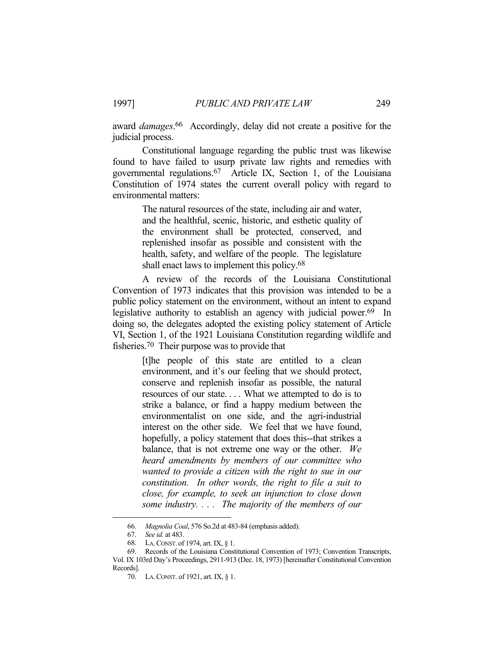award *damages*. 66 Accordingly, delay did not create a positive for the judicial process.

 Constitutional language regarding the public trust was likewise found to have failed to usurp private law rights and remedies with governmental regulations.67 Article IX, Section 1, of the Louisiana Constitution of 1974 states the current overall policy with regard to environmental matters:

> The natural resources of the state, including air and water, and the healthful, scenic, historic, and esthetic quality of the environment shall be protected, conserved, and replenished insofar as possible and consistent with the health, safety, and welfare of the people. The legislature shall enact laws to implement this policy.<sup>68</sup>

 A review of the records of the Louisiana Constitutional Convention of 1973 indicates that this provision was intended to be a public policy statement on the environment, without an intent to expand legislative authority to establish an agency with judicial power.<sup>69</sup> In doing so, the delegates adopted the existing policy statement of Article VI, Section 1, of the 1921 Louisiana Constitution regarding wildlife and fisheries.70 Their purpose was to provide that

> [t]he people of this state are entitled to a clean environment, and it's our feeling that we should protect, conserve and replenish insofar as possible, the natural resources of our state. . . . What we attempted to do is to strike a balance, or find a happy medium between the environmentalist on one side, and the agri-industrial interest on the other side. We feel that we have found, hopefully, a policy statement that does this--that strikes a balance, that is not extreme one way or the other. *We heard amendments by members of our committee who wanted to provide a citizen with the right to sue in our constitution. In other words, the right to file a suit to close, for example, to seek an injunction to close down some industry. . . . The majority of the members of our*

 <sup>66.</sup> *Magnolia Coal*, 576 So.2d at 483-84 (emphasis added).

 <sup>67.</sup> *See id.* at 483.

 <sup>68.</sup> LA.CONST. of 1974, art. IX, § 1.

 <sup>69.</sup> Records of the Louisiana Constitutional Convention of 1973; Convention Transcripts, Vol. IX 103rd Day's Proceedings, 2911-913 (Dec. 18, 1973) [hereinafter Constitutional Convention Records].

 <sup>70.</sup> LA.CONST. of 1921, art. IX, § 1.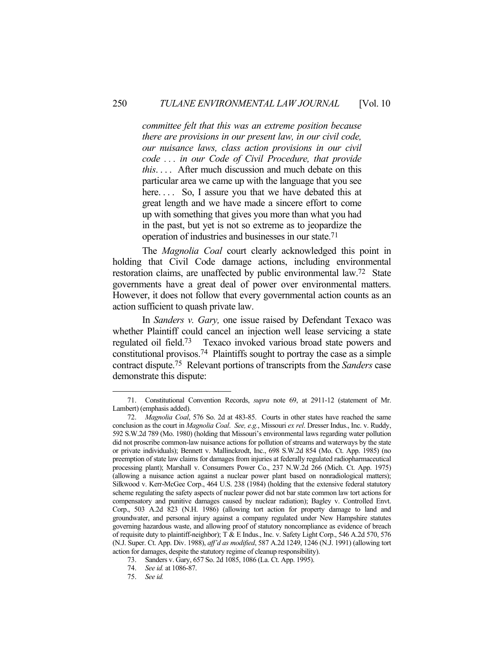*committee felt that this was an extreme position because there are provisions in our present law, in our civil code, our nuisance laws, class action provisions in our civil code . . . in our Code of Civil Procedure, that provide this*. . . . After much discussion and much debate on this particular area we came up with the language that you see here.... So, I assure you that we have debated this at great length and we have made a sincere effort to come up with something that gives you more than what you had in the past, but yet is not so extreme as to jeopardize the operation of industries and businesses in our state.71

 The *Magnolia Coal* court clearly acknowledged this point in holding that Civil Code damage actions, including environmental restoration claims, are unaffected by public environmental law.72 State governments have a great deal of power over environmental matters. However, it does not follow that every governmental action counts as an action sufficient to quash private law.

 In *Sanders v. Gary,* one issue raised by Defendant Texaco was whether Plaintiff could cancel an injection well lease servicing a state regulated oil field.73 Texaco invoked various broad state powers and constitutional provisos.74 Plaintiffs sought to portray the case as a simple contract dispute.75 Relevant portions of transcripts from the *Sanders* case demonstrate this dispute:

 <sup>71.</sup> Constitutional Convention Records, *supra* note 69, at 2911-12 (statement of Mr. Lambert) (emphasis added).

 <sup>72.</sup> *Magnolia Coal*, 576 So. 2d at 483-85. Courts in other states have reached the same conclusion as the court in *Magnolia Coal*. *See, e.g.*, Missouri *ex rel*. Dresser Indus., Inc. v. Ruddy, 592 S.W.2d 789 (Mo. 1980) (holding that Missouri's environmental laws regarding water pollution did not proscribe common-law nuisance actions for pollution of streams and waterways by the state or private individuals); Bennett v. Mallinckrodt, Inc., 698 S.W.2d 854 (Mo. Ct. App. 1985) (no preemption of state law claims for damages from injuries at federally regulated radiopharmaceutical processing plant); Marshall v. Consumers Power Co., 237 N.W.2d 266 (Mich. Ct. App. 1975) (allowing a nuisance action against a nuclear power plant based on nonradiological matters); Silkwood v. Kerr-McGee Corp., 464 U.S. 238 (1984) (holding that the extensive federal statutory scheme regulating the safety aspects of nuclear power did not bar state common law tort actions for compensatory and punitive damages caused by nuclear radiation); Bagley v. Controlled Envt. Corp., 503 A.2d 823 (N.H. 1986) (allowing tort action for property damage to land and groundwater, and personal injury against a company regulated under New Hampshire statutes governing hazardous waste, and allowing proof of statutory noncompliance as evidence of breach of requisite duty to plaintiff-neighbor); T & E Indus., Inc. v. Safety Light Corp., 546 A.2d 570, 576 (N.J. Super. Ct. App. Div. 1988), *aff'd as modified*, 587 A.2d 1249, 1246 (N.J. 1991) (allowing tort action for damages, despite the statutory regime of cleanup responsibility).

 <sup>73.</sup> Sanders v. Gary, 657 So. 2d 1085, 1086 (La. Ct. App. 1995).

 <sup>74.</sup> *See id.* at 1086-87.

 <sup>75.</sup> *See id.*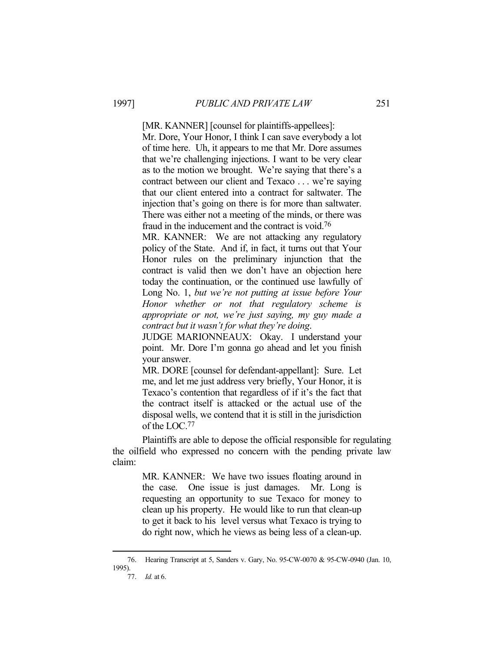[MR. KANNER] [counsel for plaintiffs-appellees]: Mr. Dore, Your Honor, I think I can save everybody a lot of time here. Uh, it appears to me that Mr. Dore assumes that we're challenging injections. I want to be very clear as to the motion we brought. We're saying that there's a contract between our client and Texaco . . . we're saying that our client entered into a contract for saltwater. The injection that's going on there is for more than saltwater. There was either not a meeting of the minds, or there was fraud in the inducement and the contract is void.76

MR. KANNER: We are not attacking any regulatory policy of the State. And if, in fact, it turns out that Your Honor rules on the preliminary injunction that the contract is valid then we don't have an objection here today the continuation, or the continued use lawfully of Long No. 1, *but we're not putting at issue before Your Honor whether or not that regulatory scheme is appropriate or not, we're just saying, my guy made a contract but it wasn't for what they're doing*.

JUDGE MARIONNEAUX: Okay. I understand your point. Mr. Dore I'm gonna go ahead and let you finish your answer.

MR. DORE [counsel for defendant-appellant]: Sure. Let me, and let me just address very briefly, Your Honor, it is Texaco's contention that regardless of if it's the fact that the contract itself is attacked or the actual use of the disposal wells, we contend that it is still in the jurisdiction of the LOC.77

 Plaintiffs are able to depose the official responsible for regulating the oilfield who expressed no concern with the pending private law claim:

> MR. KANNER: We have two issues floating around in the case. One issue is just damages. Mr. Long is requesting an opportunity to sue Texaco for money to clean up his property. He would like to run that clean-up to get it back to his level versus what Texaco is trying to do right now, which he views as being less of a clean-up.

 <sup>76.</sup> Hearing Transcript at 5, Sanders v. Gary, No. 95-CW-0070 & 95-CW-0940 (Jan. 10, 1995).

 <sup>77.</sup> *Id.* at 6.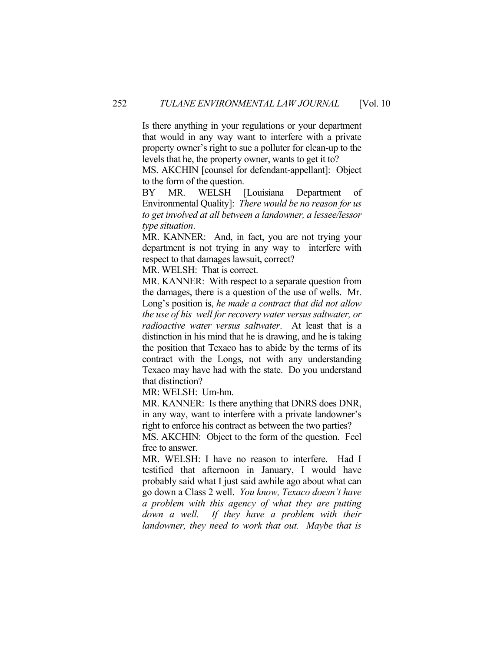Is there anything in your regulations or your department that would in any way want to interfere with a private property owner's right to sue a polluter for clean-up to the levels that he, the property owner, wants to get it to?

MS. AKCHIN [counsel for defendant-appellant]: Object to the form of the question.

BY MR. WELSH [Louisiana Department of Environmental Quality]: *There would be no reason for us to get involved at all between a landowner, a lessee/lessor type situation*.

MR. KANNER: And, in fact, you are not trying your department is not trying in any way to interfere with respect to that damages lawsuit, correct?

MR. WELSH: That is correct.

MR. KANNER: With respect to a separate question from the damages, there is a question of the use of wells. Mr. Long's position is, *he made a contract that did not allow the use of his well for recovery water versus saltwater, or radioactive water versus saltwater*. At least that is a distinction in his mind that he is drawing, and he is taking the position that Texaco has to abide by the terms of its contract with the Longs, not with any understanding Texaco may have had with the state. Do you understand that distinction?

MR: WELSH: Um-hm.

MR. KANNER: Is there anything that DNRS does DNR, in any way, want to interfere with a private landowner's right to enforce his contract as between the two parties?

MS. AKCHIN: Object to the form of the question. Feel free to answer.

MR. WELSH: I have no reason to interfere. Had I testified that afternoon in January, I would have probably said what I just said awhile ago about what can go down a Class 2 well. *You know, Texaco doesn't have a problem with this agency of what they are putting down a well. If they have a problem with their landowner, they need to work that out. Maybe that is*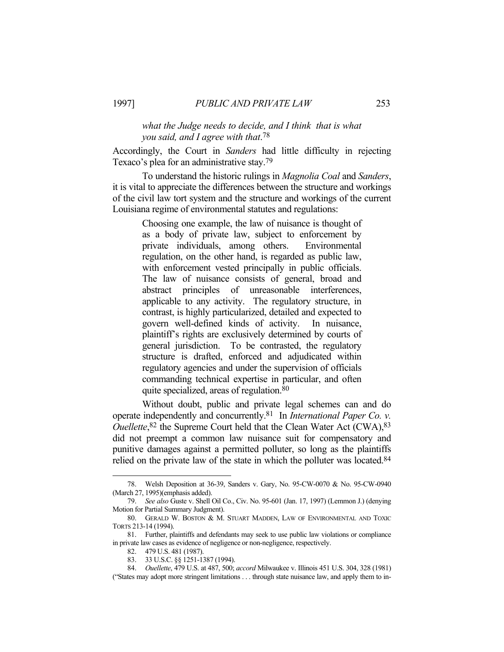## *what the Judge needs to decide, and I think that is what you said, and I agree with that*. 78

Accordingly, the Court in *Sanders* had little difficulty in rejecting Texaco's plea for an administrative stay.79

 To understand the historic rulings in *Magnolia Coal* and *Sanders*, it is vital to appreciate the differences between the structure and workings of the civil law tort system and the structure and workings of the current Louisiana regime of environmental statutes and regulations:

> Choosing one example, the law of nuisance is thought of as a body of private law, subject to enforcement by private individuals, among others. Environmental regulation, on the other hand, is regarded as public law, with enforcement vested principally in public officials. The law of nuisance consists of general, broad and abstract principles of unreasonable interferences, applicable to any activity. The regulatory structure, in contrast, is highly particularized, detailed and expected to govern well-defined kinds of activity. In nuisance, plaintiff's rights are exclusively determined by courts of general jurisdiction. To be contrasted, the regulatory structure is drafted, enforced and adjudicated within regulatory agencies and under the supervision of officials commanding technical expertise in particular, and often quite specialized, areas of regulation.80

 Without doubt, public and private legal schemes can and do operate independently and concurrently.81 In *International Paper Co. v. Ouellette*,<sup>82</sup> the Supreme Court held that the Clean Water Act (CWA),<sup>83</sup> did not preempt a common law nuisance suit for compensatory and punitive damages against a permitted polluter, so long as the plaintiffs relied on the private law of the state in which the polluter was located.<sup>84</sup>

 <sup>78.</sup> Welsh Deposition at 36-39, Sanders v. Gary, No. 95-CW-0070 & No. 95-CW-0940 (March 27, 1995)(emphasis added).

 <sup>79.</sup> *See also* Guste v. Shell Oil Co., Civ. No. 95-601 (Jan. 17, 1997) (Lemmon J.) (denying Motion for Partial Summary Judgment).

 <sup>80.</sup> GERALD W. BOSTON & M. STUART MADDEN, LAW OF ENVIRONMENTAL AND TOXIC TORTS 213-14 (1994).

 <sup>81.</sup> Further, plaintiffs and defendants may seek to use public law violations or compliance in private law cases as evidence of negligence or non-negligence, respectively.

 <sup>82. 479</sup> U.S. 481 (1987).

 <sup>83. 33</sup> U.S.C. §§ 1251-1387 (1994).

 <sup>84.</sup> *Ouellette*, 479 U.S. at 487, 500; *accord* Milwaukee v. Illinois 451 U.S. 304, 328 (1981) ("States may adopt more stringent limitations . . . through state nuisance law, and apply them to in-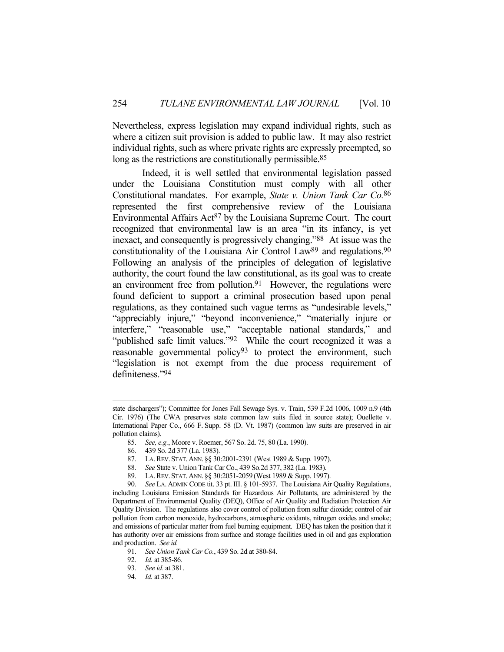Nevertheless, express legislation may expand individual rights, such as where a citizen suit provision is added to public law. It may also restrict individual rights, such as where private rights are expressly preempted, so long as the restrictions are constitutionally permissible.<sup>85</sup>

 Indeed, it is well settled that environmental legislation passed under the Louisiana Constitution must comply with all other Constitutional mandates. For example, *State v. Union Tank Car Co.*86 represented the first comprehensive review of the Louisiana Environmental Affairs Act<sup>87</sup> by the Louisiana Supreme Court. The court recognized that environmental law is an area "in its infancy, is yet inexact, and consequently is progressively changing."88 At issue was the constitutionality of the Louisiana Air Control Law<sup>89</sup> and regulations.<sup>90</sup> Following an analysis of the principles of delegation of legislative authority, the court found the law constitutional, as its goal was to create an environment free from pollution. $91$  However, the regulations were found deficient to support a criminal prosecution based upon penal regulations, as they contained such vague terms as "undesirable levels," "appreciably injure," "beyond inconvenience," "materially injure or interfere," "reasonable use," "acceptable national standards," and "published safe limit values."<sup>92</sup> While the court recognized it was a reasonable governmental policy<sup>93</sup> to protect the environment, such "legislation is not exempt from the due process requirement of definiteness."94

state dischargers"); Committee for Jones Fall Sewage Sys. v. Train, 539 F.2d 1006, 1009 n.9 (4th Cir. 1976) (The CWA preserves state common law suits filed in source state); Ouellette v. International Paper Co., 666 F. Supp. 58 (D. Vt. 1987) (common law suits are preserved in air pollution claims).

 <sup>85.</sup> *See, e.g.*, Moore v. Roemer, 567 So. 2d. 75, 80 (La. 1990).

 <sup>86. 439</sup> So. 2d 377 (La. 1983).

 <sup>87.</sup> LA.REV. STAT.ANN. §§ 30:2001-2391 (West 1989 & Supp. 1997).

 <sup>88.</sup> *See* State v. Union Tank Car Co., 439 So.2d 377, 382 (La. 1983).

 <sup>89.</sup> LA.REV. STAT.ANN. §§ 30:2051-2059 (West 1989 & Supp. 1997).

 <sup>90.</sup> *See* LA. ADMIN CODE tit. 33 pt. III. § 101-5937. The Louisiana Air Quality Regulations, including Louisiana Emission Standards for Hazardous Air Pollutants, are administered by the Department of Environmental Quality (DEQ), Office of Air Quality and Radiation Protection Air Quality Division. The regulations also cover control of pollution from sulfur dioxide; control of air pollution from carbon monoxide, hydrocarbons, atmospheric oxidants, nitrogen oxides and smoke; and emissions of particular matter from fuel burning equipment. DEQ has taken the position that it has authority over air emissions from surface and storage facilities used in oil and gas exploration and production. *See id.*

 <sup>91.</sup> *See Union Tank Car Co.*, 439 So. 2d at 380-84.

 <sup>92.</sup> *Id.* at 385-86.

 <sup>93.</sup> *See id.* at 381.

 <sup>94.</sup> *Id.* at 387.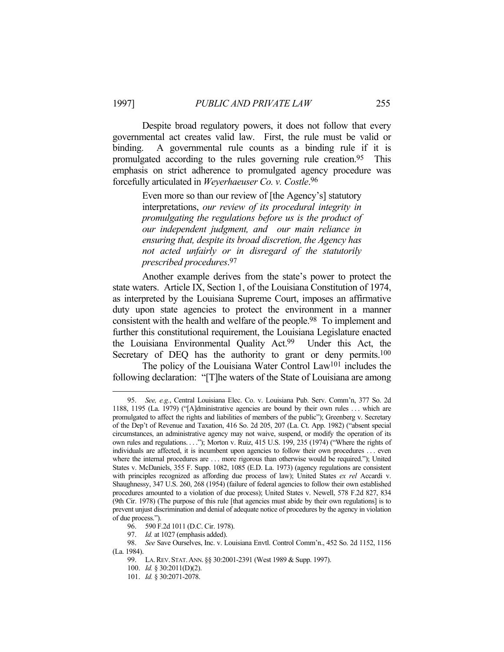Despite broad regulatory powers, it does not follow that every governmental act creates valid law. First, the rule must be valid or binding. A governmental rule counts as a binding rule if it is promulgated according to the rules governing rule creation.95 This emphasis on strict adherence to promulgated agency procedure was forcefully articulated in *Weyerhaeuser Co. v. Costle*. 96

> Even more so than our review of [the Agency's] statutory interpretations, *our review of its procedural integrity in promulgating the regulations before us is the product of our independent judgment, and our main reliance in ensuring that, despite its broad discretion, the Agency has not acted unfairly or in disregard of the statutorily prescribed procedures*. 97

 Another example derives from the state's power to protect the state waters. Article IX, Section 1, of the Louisiana Constitution of 1974, as interpreted by the Louisiana Supreme Court, imposes an affirmative duty upon state agencies to protect the environment in a manner consistent with the health and welfare of the people.98 To implement and further this constitutional requirement, the Louisiana Legislature enacted the Louisiana Environmental Quality Act.99 Under this Act, the Secretary of DEQ has the authority to grant or deny permits.<sup>100</sup> The policy of the Louisiana Water Control Law101 includes the

following declaration: "[T]he waters of the State of Louisiana are among

 <sup>95.</sup> *See, e.g.*, Central Louisiana Elec. Co. v. Louisiana Pub. Serv. Comm'n, 377 So. 2d 1188, 1195 (La. 1979) ("[A]dministrative agencies are bound by their own rules . . . which are promulgated to affect the rights and liabilities of members of the public"); Greenberg v. Secretary of the Dep't of Revenue and Taxation, 416 So. 2d 205, 207 (La. Ct. App. 1982) ("absent special circumstances, an administrative agency may not waive, suspend, or modify the operation of its own rules and regulations. . . ."); Morton v. Ruiz, 415 U.S. 199, 235 (1974) ("Where the rights of individuals are affected, it is incumbent upon agencies to follow their own procedures . . . even where the internal procedures are . . . more rigorous than otherwise would be required."); United States v. McDaniels, 355 F. Supp. 1082, 1085 (E.D. La. 1973) (agency regulations are consistent with principles recognized as affording due process of law); United States *ex rel* Accardi v. Shaughnessy, 347 U.S. 260, 268 (1954) (failure of federal agencies to follow their own established procedures amounted to a violation of due process); United States v. Newell, 578 F.2d 827, 834 (9th Cir. 1978) (The purpose of this rule [that agencies must abide by their own regulations] is to prevent unjust discrimination and denial of adequate notice of procedures by the agency in violation of due process.").

 <sup>96. 590</sup> F.2d 1011 (D.C. Cir. 1978).

 <sup>97.</sup> *Id.* at 1027 (emphasis added).

 <sup>98.</sup> *See* Save Ourselves, Inc. v. Louisiana Envtl. Control Comm'n., 452 So. 2d 1152, 1156 (La. 1984).

 <sup>99.</sup> LA.REV. STAT.ANN. §§ 30:2001-2391 (West 1989 & Supp. 1997).

 <sup>100.</sup> *Id.* § 30:2011(D)(2).

 <sup>101.</sup> *Id.* § 30:2071-2078.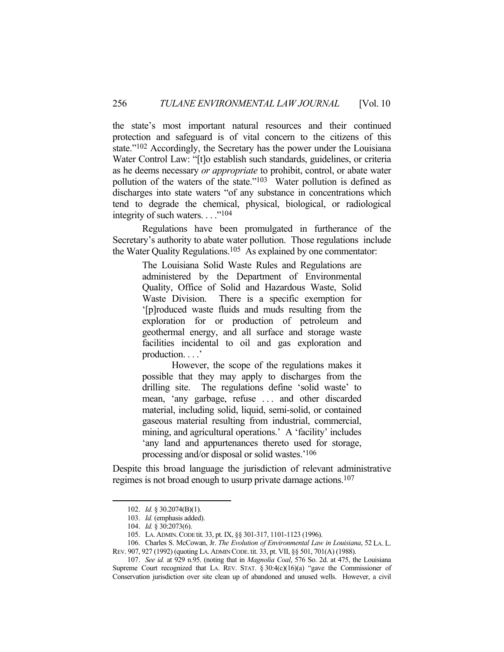the state's most important natural resources and their continued protection and safeguard is of vital concern to the citizens of this state."102 Accordingly, the Secretary has the power under the Louisiana Water Control Law: "[t]o establish such standards, guidelines, or criteria as he deems necessary *or appropriate* to prohibit, control, or abate water pollution of the waters of the state."103 Water pollution is defined as discharges into state waters "of any substance in concentrations which tend to degrade the chemical, physical, biological, or radiological integrity of such waters.  $\ldots$ <sup>"104</sup>"

 Regulations have been promulgated in furtherance of the Secretary's authority to abate water pollution. Those regulations include the Water Quality Regulations.<sup>105</sup> As explained by one commentator:

> The Louisiana Solid Waste Rules and Regulations are administered by the Department of Environmental Quality, Office of Solid and Hazardous Waste, Solid Waste Division. There is a specific exemption for '[p]roduced waste fluids and muds resulting from the exploration for or production of petroleum and geothermal energy, and all surface and storage waste facilities incidental to oil and gas exploration and production. . . .'

> However, the scope of the regulations makes it possible that they may apply to discharges from the drilling site. The regulations define 'solid waste' to mean, 'any garbage, refuse . . . and other discarded material, including solid, liquid, semi-solid, or contained gaseous material resulting from industrial, commercial, mining, and agricultural operations.' A 'facility' includes 'any land and appurtenances thereto used for storage, processing and/or disposal or solid wastes.'106

Despite this broad language the jurisdiction of relevant administrative regimes is not broad enough to usurp private damage actions.107

 <sup>102.</sup> *Id.* § 30.2074(B)(1).

 <sup>103.</sup> *Id.* (emphasis added).

 <sup>104.</sup> *Id.* § 30:2073(6).

 <sup>105.</sup> LA.ADMIN.CODE tit. 33, pt. IX, §§ 301-317, 1101-1123 (1996).

 <sup>106.</sup> Charles S. McCowan, Jr. *The Evolution of Environmental Law in Louisiana*, 52 LA. L. REV. 907, 927 (1992) (quoting LA.ADMIN CODE. tit. 33, pt. VII, §§ 501, 701(A) (1988).

 <sup>107.</sup> *See id.* at 929 n.95. (noting that in *Magnolia Coal*, 576 So. 2d. at 475, the Louisiana Supreme Court recognized that LA. REV. STAT.  $\S 30:4(c)(16)(a)$  "gave the Commissioner of Conservation jurisdiction over site clean up of abandoned and unused wells. However, a civil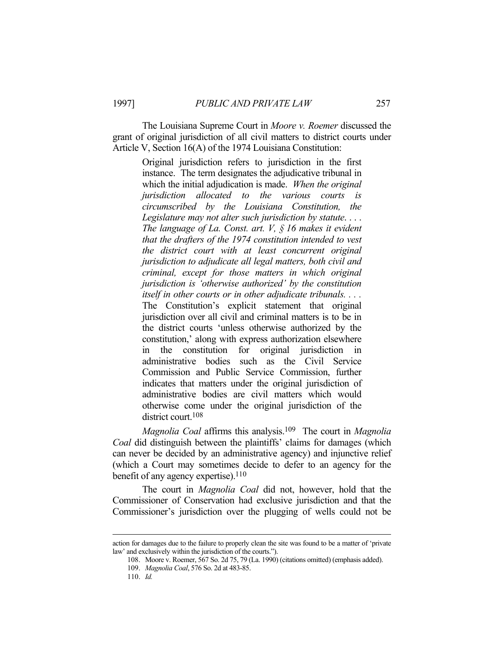The Louisiana Supreme Court in *Moore v. Roemer* discussed the grant of original jurisdiction of all civil matters to district courts under Article V, Section 16(A) of the 1974 Louisiana Constitution:

> Original jurisdiction refers to jurisdiction in the first instance. The term designates the adjudicative tribunal in which the initial adjudication is made. *When the original jurisdiction allocated to the various courts is circumscribed by the Louisiana Constitution, the Legislature may not alter such jurisdiction by statute*. . . . *The language of La. Const. art. V, § 16 makes it evident that the drafters of the 1974 constitution intended to vest the district court with at least concurrent original jurisdiction to adjudicate all legal matters, both civil and criminal, except for those matters in which original jurisdiction is 'otherwise authorized' by the constitution itself in other courts or in other adjudicate tribunals. . . .*  The Constitution's explicit statement that original jurisdiction over all civil and criminal matters is to be in the district courts 'unless otherwise authorized by the constitution,' along with express authorization elsewhere in the constitution for original jurisdiction administrative bodies such as the Civil Service Commission and Public Service Commission, further indicates that matters under the original jurisdiction of administrative bodies are civil matters which would otherwise come under the original jurisdiction of the district court.108

 *Magnolia Coal* affirms this analysis.109 The court in *Magnolia Coal* did distinguish between the plaintiffs' claims for damages (which can never be decided by an administrative agency) and injunctive relief (which a Court may sometimes decide to defer to an agency for the benefit of any agency expertise). $110$ 

 The court in *Magnolia Coal* did not, however, hold that the Commissioner of Conservation had exclusive jurisdiction and that the Commissioner's jurisdiction over the plugging of wells could not be

action for damages due to the failure to properly clean the site was found to be a matter of 'private law' and exclusively within the jurisdiction of the courts.").

 <sup>108.</sup> Moore v. Roemer, 567 So. 2d 75, 79 (La. 1990) (citations omitted) (emphasis added).

 <sup>109.</sup> *Magnolia Coal*, 576 So. 2d at 483-85.

 <sup>110.</sup> *Id.*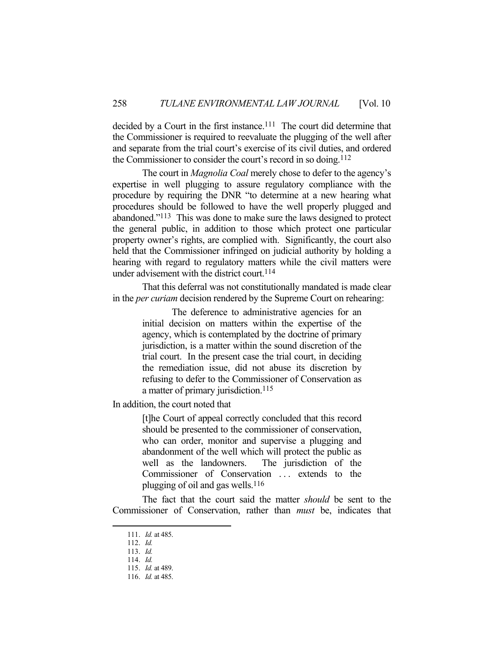decided by a Court in the first instance.<sup>111</sup> The court did determine that the Commissioner is required to reevaluate the plugging of the well after and separate from the trial court's exercise of its civil duties, and ordered the Commissioner to consider the court's record in so doing.<sup>112</sup>

 The court in *Magnolia Coal* merely chose to defer to the agency's expertise in well plugging to assure regulatory compliance with the procedure by requiring the DNR "to determine at a new hearing what procedures should be followed to have the well properly plugged and abandoned."113 This was done to make sure the laws designed to protect the general public, in addition to those which protect one particular property owner's rights, are complied with. Significantly, the court also held that the Commissioner infringed on judicial authority by holding a hearing with regard to regulatory matters while the civil matters were under advisement with the district court.<sup>114</sup>

 That this deferral was not constitutionally mandated is made clear in the *per curiam* decision rendered by the Supreme Court on rehearing:

> The deference to administrative agencies for an initial decision on matters within the expertise of the agency, which is contemplated by the doctrine of primary jurisdiction, is a matter within the sound discretion of the trial court. In the present case the trial court, in deciding the remediation issue, did not abuse its discretion by refusing to defer to the Commissioner of Conservation as a matter of primary jurisdiction.<sup>115</sup>

In addition, the court noted that

[t]he Court of appeal correctly concluded that this record should be presented to the commissioner of conservation, who can order, monitor and supervise a plugging and abandonment of the well which will protect the public as well as the landowners. The jurisdiction of the Commissioner of Conservation ... extends to the plugging of oil and gas wells.116

 The fact that the court said the matter *should* be sent to the Commissioner of Conservation, rather than *must* be, indicates that

 <sup>111.</sup> *Id.* at 485.

 <sup>112.</sup> *Id.*

 <sup>113.</sup> *Id.*

 <sup>114.</sup> *Id.*

 <sup>115.</sup> *Id.* at 489.

 <sup>116.</sup> *Id.* at 485.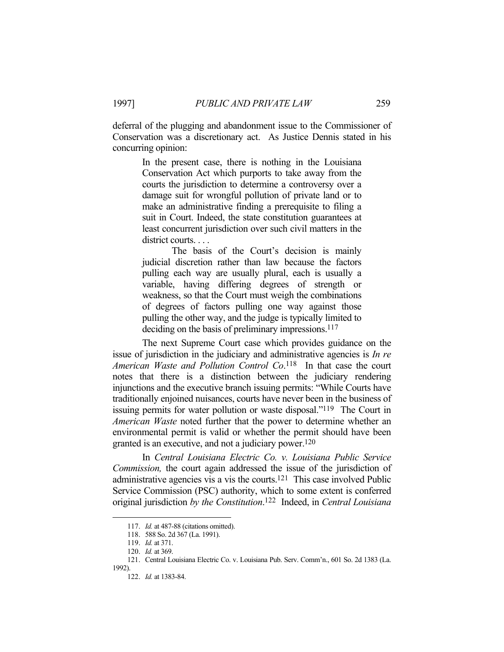deferral of the plugging and abandonment issue to the Commissioner of Conservation was a discretionary act. As Justice Dennis stated in his concurring opinion:

> In the present case, there is nothing in the Louisiana Conservation Act which purports to take away from the courts the jurisdiction to determine a controversy over a damage suit for wrongful pollution of private land or to make an administrative finding a prerequisite to filing a suit in Court. Indeed, the state constitution guarantees at least concurrent jurisdiction over such civil matters in the district courts. . . .

> The basis of the Court's decision is mainly judicial discretion rather than law because the factors pulling each way are usually plural, each is usually a variable, having differing degrees of strength or weakness, so that the Court must weigh the combinations of degrees of factors pulling one way against those pulling the other way, and the judge is typically limited to deciding on the basis of preliminary impressions.<sup>117</sup>

 The next Supreme Court case which provides guidance on the issue of jurisdiction in the judiciary and administrative agencies is *In re American Waste and Pollution Control Co*. 118 In that case the court notes that there is a distinction between the judiciary rendering injunctions and the executive branch issuing permits: "While Courts have traditionally enjoined nuisances, courts have never been in the business of issuing permits for water pollution or waste disposal."119 The Court in *American Waste* noted further that the power to determine whether an environmental permit is valid or whether the permit should have been granted is an executive, and not a judiciary power.120

 In *Central Louisiana Electric Co. v. Louisiana Public Service Commission,* the court again addressed the issue of the jurisdiction of administrative agencies vis a vis the courts.121 This case involved Public Service Commission (PSC) authority, which to some extent is conferred original jurisdiction *by the Constitution*. 122 Indeed, in *Central Louisiana* 

 <sup>117.</sup> *Id.* at 487-88 (citations omitted).

 <sup>118. 588</sup> So. 2d 367 (La. 1991).

 <sup>119.</sup> *Id.* at 371.

 <sup>120.</sup> *Id.* at 369.

 <sup>121.</sup> Central Louisiana Electric Co. v. Louisiana Pub. Serv. Comm'n., 601 So. 2d 1383 (La. 1992).

 <sup>122.</sup> *Id.* at 1383-84.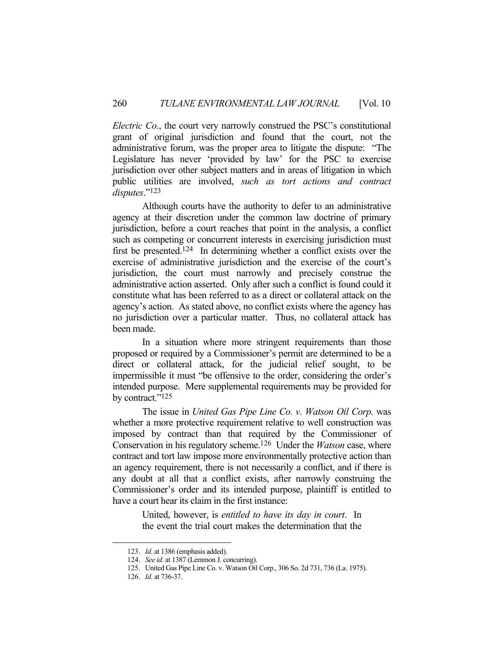*Electric Co.*, the court very narrowly construed the PSC's constitutional grant of original jurisdiction and found that the court, not the administrative forum, was the proper area to litigate the dispute: "The Legislature has never 'provided by law' for the PSC to exercise jurisdiction over other subject matters and in areas of litigation in which public utilities are involved, *such as tort actions and contract disputes*."123

 Although courts have the authority to defer to an administrative agency at their discretion under the common law doctrine of primary jurisdiction, before a court reaches that point in the analysis, a conflict such as competing or concurrent interests in exercising jurisdiction must first be presented.124 In determining whether a conflict exists over the exercise of administrative jurisdiction and the exercise of the court's jurisdiction, the court must narrowly and precisely construe the administrative action asserted. Only after such a conflict is found could it constitute what has been referred to as a direct or collateral attack on the agency's action. As stated above, no conflict exists where the agency has no jurisdiction over a particular matter. Thus, no collateral attack has been made.

 In a situation where more stringent requirements than those proposed or required by a Commissioner's permit are determined to be a direct or collateral attack, for the judicial relief sought, to be impermissible it must "be offensive to the order, considering the order's intended purpose. Mere supplemental requirements may be provided for by contract."<sup>125</sup>

 The issue in *United Gas Pipe Line Co. v. Watson Oil Corp.* was whether a more protective requirement relative to well construction was imposed by contract than that required by the Commissioner of Conservation in his regulatory scheme.126 Under the *Watson* case, where contract and tort law impose more environmentally protective action than an agency requirement, there is not necessarily a conflict, and if there is any doubt at all that a conflict exists, after narrowly construing the Commissioner's order and its intended purpose, plaintiff is entitled to have a court hear its claim in the first instance:

> United, however, is *entitled to have its day in court*. In the event the trial court makes the determination that the

 <sup>123.</sup> *Id.* at 1386 (emphasis added).

 <sup>124.</sup> *See id.* at 1387 (Lemmon J. concurring).

 <sup>125.</sup> United Gas Pipe Line Co. v. Watson Oil Corp., 306 So. 2d 731, 736 (La. 1975).

 <sup>126.</sup> *Id.* at 736-37.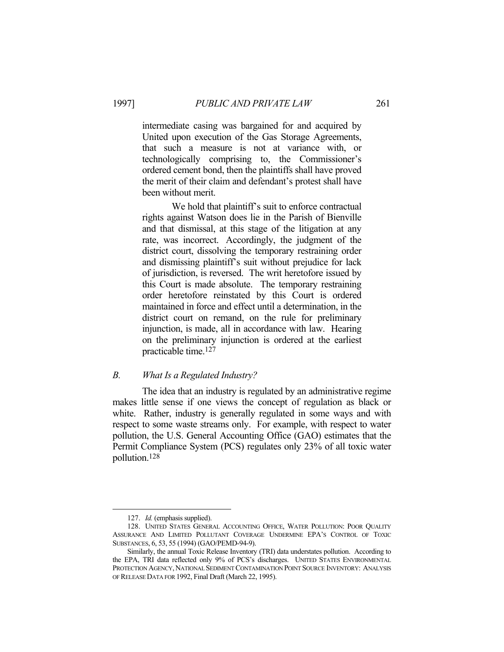intermediate casing was bargained for and acquired by United upon execution of the Gas Storage Agreements, that such a measure is not at variance with, or technologically comprising to, the Commissioner's ordered cement bond, then the plaintiffs shall have proved the merit of their claim and defendant's protest shall have been without merit.

 We hold that plaintiff's suit to enforce contractual rights against Watson does lie in the Parish of Bienville and that dismissal, at this stage of the litigation at any rate, was incorrect. Accordingly, the judgment of the district court, dissolving the temporary restraining order and dismissing plaintiff's suit without prejudice for lack of jurisdiction, is reversed. The writ heretofore issued by this Court is made absolute. The temporary restraining order heretofore reinstated by this Court is ordered maintained in force and effect until a determination, in the district court on remand, on the rule for preliminary injunction, is made, all in accordance with law. Hearing on the preliminary injunction is ordered at the earliest practicable time.127

## *B. What Is a Regulated Industry?*

 The idea that an industry is regulated by an administrative regime makes little sense if one views the concept of regulation as black or white. Rather, industry is generally regulated in some ways and with respect to some waste streams only. For example, with respect to water pollution, the U.S. General Accounting Office (GAO) estimates that the Permit Compliance System (PCS) regulates only 23% of all toxic water pollution.128

 <sup>127.</sup> *Id.* (emphasis supplied).

 <sup>128.</sup> UNITED STATES GENERAL ACCOUNTING OFFICE, WATER POLLUTION: POOR QUALITY ASSURANCE AND LIMITED POLLUTANT COVERAGE UNDERMINE EPA'S CONTROL OF TOXIC SUBSTANCES, 6, 53, 55 (1994) (GAO/PEMD-94-9).

Similarly, the annual Toxic Release Inventory (TRI) data understates pollution. According to the EPA, TRI data reflected only 9% of PCS's discharges. UNITED STATES ENVIRONMENTAL PROTECTION AGENCY, NATIONAL SEDIMENT CONTAMINATION POINT SOURCE INVENTORY: ANALYSIS OF RELEASE DATA FOR 1992, Final Draft (March 22, 1995).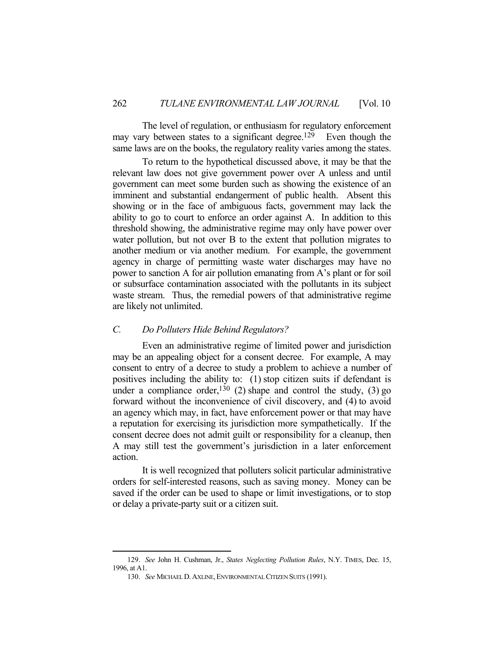The level of regulation, or enthusiasm for regulatory enforcement may vary between states to a significant degree.<sup>129</sup> Even though the same laws are on the books, the regulatory reality varies among the states.

 To return to the hypothetical discussed above, it may be that the relevant law does not give government power over A unless and until government can meet some burden such as showing the existence of an imminent and substantial endangerment of public health. Absent this showing or in the face of ambiguous facts, government may lack the ability to go to court to enforce an order against A. In addition to this threshold showing, the administrative regime may only have power over water pollution, but not over B to the extent that pollution migrates to another medium or via another medium. For example, the government agency in charge of permitting waste water discharges may have no power to sanction A for air pollution emanating from A's plant or for soil or subsurface contamination associated with the pollutants in its subject waste stream. Thus, the remedial powers of that administrative regime are likely not unlimited.

### *C. Do Polluters Hide Behind Regulators?*

 Even an administrative regime of limited power and jurisdiction may be an appealing object for a consent decree. For example, A may consent to entry of a decree to study a problem to achieve a number of positives including the ability to: (1) stop citizen suits if defendant is under a compliance order,  $130$  (2) shape and control the study, (3) go forward without the inconvenience of civil discovery, and (4) to avoid an agency which may, in fact, have enforcement power or that may have a reputation for exercising its jurisdiction more sympathetically. If the consent decree does not admit guilt or responsibility for a cleanup, then A may still test the government's jurisdiction in a later enforcement action.

 It is well recognized that polluters solicit particular administrative orders for self-interested reasons, such as saving money. Money can be saved if the order can be used to shape or limit investigations, or to stop or delay a private-party suit or a citizen suit.

 <sup>129.</sup> *See* John H. Cushman, Jr., *States Neglecting Pollution Rules*, N.Y. TIMES, Dec. 15, 1996, at A1.

 <sup>130.</sup> *See* MICHAEL D.AXLINE,ENVIRONMENTAL CITIZEN SUITS (1991).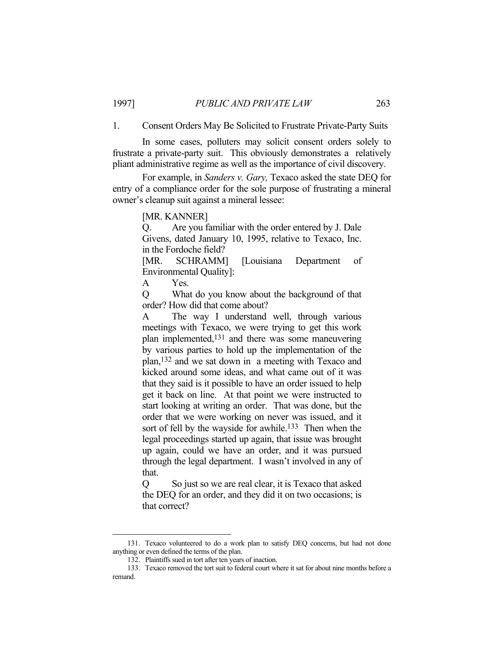1. Consent Orders May Be Solicited to Frustrate Private-Party Suits

 In some cases, polluters may solicit consent orders solely to frustrate a private-party suit. This obviously demonstrates a relatively pliant administrative regime as well as the importance of civil discovery.

 For example, in *Sanders v. Gary,* Texaco asked the state DEQ for entry of a compliance order for the sole purpose of frustrating a mineral owner's cleanup suit against a mineral lessee:

[MR. KANNER]

Q. Are you familiar with the order entered by J. Dale Givens, dated January 10, 1995, relative to Texaco, Inc. in the Fordoche field?

[MR. SCHRAMM] [Louisiana Department of Environmental Quality]:

A Yes.

Q What do you know about the background of that order? How did that come about?

A The way I understand well, through various meetings with Texaco, we were trying to get this work plan implemented,131 and there was some maneuvering by various parties to hold up the implementation of the plan,132 and we sat down in a meeting with Texaco and kicked around some ideas, and what came out of it was that they said is it possible to have an order issued to help get it back on line. At that point we were instructed to start looking at writing an order. That was done, but the order that we were working on never was issued, and it sort of fell by the wayside for awhile.<sup>133</sup> Then when the legal proceedings started up again, that issue was brought up again, could we have an order, and it was pursued through the legal department. I wasn't involved in any of that.

Q So just so we are real clear, it is Texaco that asked the DEQ for an order, and they did it on two occasions; is that correct?

 <sup>131.</sup> Texaco volunteered to do a work plan to satisfy DEQ concerns, but had not done anything or even defined the terms of the plan.

 <sup>132.</sup> Plaintiffs sued in tort after ten years of inaction.

 <sup>133.</sup> Texaco removed the tort suit to federal court where it sat for about nine months before a remand.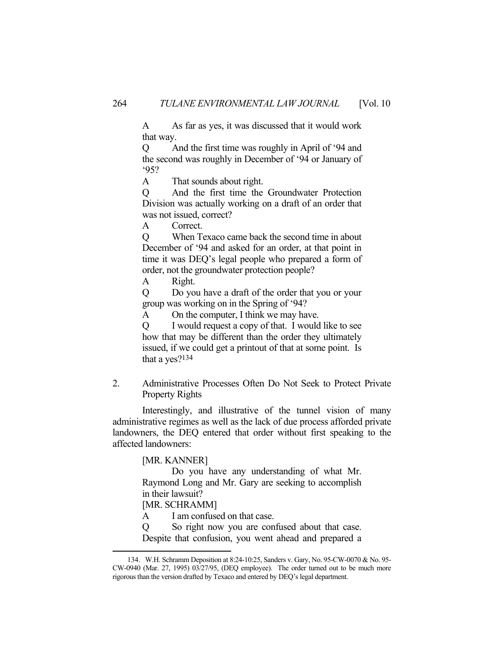A As far as yes, it was discussed that it would work that way.

Q And the first time was roughly in April of '94 and the second was roughly in December of '94 or January of '95?

A That sounds about right.

Q And the first time the Groundwater Protection Division was actually working on a draft of an order that was not issued, correct?

A Correct.

Q When Texaco came back the second time in about December of '94 and asked for an order, at that point in time it was DEQ's legal people who prepared a form of order, not the groundwater protection people?

A Right.

Q Do you have a draft of the order that you or your group was working on in the Spring of '94?

A On the computer, I think we may have.

Q I would request a copy of that. I would like to see how that may be different than the order they ultimately issued, if we could get a printout of that at some point. Is that a yes?134

2. Administrative Processes Often Do Not Seek to Protect Private Property Rights

 Interestingly, and illustrative of the tunnel vision of many administrative regimes as well as the lack of due process afforded private landowners, the DEQ entered that order without first speaking to the affected landowners:

[MR. KANNER]

 Do you have any understanding of what Mr. Raymond Long and Mr. Gary are seeking to accomplish in their lawsuit?

[MR. SCHRAMM]

<u>.</u>

A I am confused on that case.

Q So right now you are confused about that case. Despite that confusion, you went ahead and prepared a

 <sup>134.</sup> W.H. Schramm Deposition at 8:24-10:25, Sanders v. Gary, No. 95-CW-0070 & No. 95- CW-0940 (Mar. 27, 1995) 03/27/95, (DEQ employee). The order turned out to be much more rigorous than the version drafted by Texaco and entered by DEQ's legal department.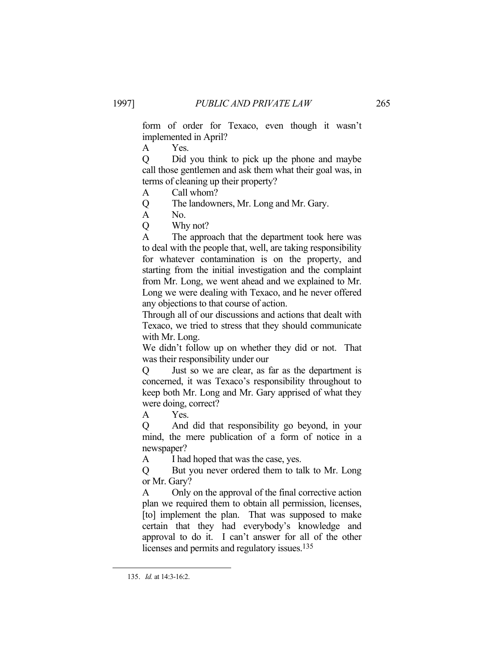form of order for Texaco, even though it wasn't implemented in April?

A Yes.

Q Did you think to pick up the phone and maybe call those gentlemen and ask them what their goal was, in terms of cleaning up their property?

A Call whom?

Q The landowners, Mr. Long and Mr. Gary.

A No.

Q Why not?

A The approach that the department took here was to deal with the people that, well, are taking responsibility for whatever contamination is on the property, and starting from the initial investigation and the complaint from Mr. Long, we went ahead and we explained to Mr. Long we were dealing with Texaco, and he never offered any objections to that course of action.

Through all of our discussions and actions that dealt with Texaco, we tried to stress that they should communicate with Mr. Long.

We didn't follow up on whether they did or not. That was their responsibility under our

Q Just so we are clear, as far as the department is concerned, it was Texaco's responsibility throughout to keep both Mr. Long and Mr. Gary apprised of what they were doing, correct?

A Yes.

Q And did that responsibility go beyond, in your mind, the mere publication of a form of notice in a newspaper?

A I had hoped that was the case, yes.

Q But you never ordered them to talk to Mr. Long or Mr. Gary?

A Only on the approval of the final corrective action plan we required them to obtain all permission, licenses, [to] implement the plan. That was supposed to make certain that they had everybody's knowledge and approval to do it. I can't answer for all of the other licenses and permits and regulatory issues.<sup>135</sup>

 <sup>135.</sup> *Id.* at 14:3-16:2.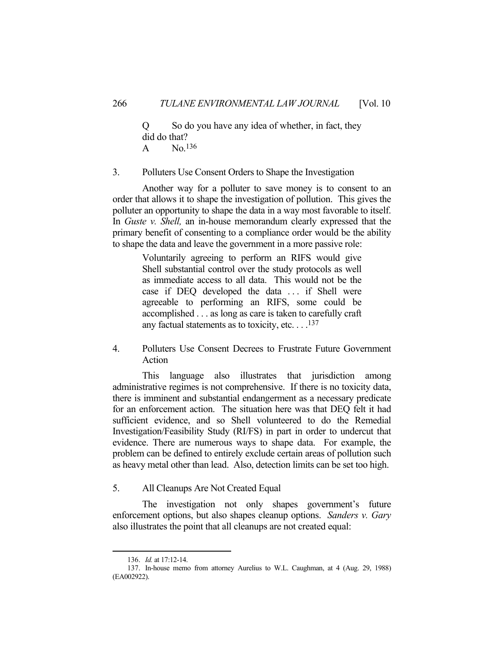Q So do you have any idea of whether, in fact, they did do that? A No.136

3. Polluters Use Consent Orders to Shape the Investigation

 Another way for a polluter to save money is to consent to an order that allows it to shape the investigation of pollution. This gives the polluter an opportunity to shape the data in a way most favorable to itself. In *Guste v. Shell,* an in-house memorandum clearly expressed that the primary benefit of consenting to a compliance order would be the ability to shape the data and leave the government in a more passive role:

> Voluntarily agreeing to perform an RIFS would give Shell substantial control over the study protocols as well as immediate access to all data. This would not be the case if DEQ developed the data ... if Shell were agreeable to performing an RIFS, some could be accomplished . . . as long as care is taken to carefully craft any factual statements as to toxicity, etc.  $\dots$ <sup>137</sup>

4. Polluters Use Consent Decrees to Frustrate Future Government Action

 This language also illustrates that jurisdiction among administrative regimes is not comprehensive. If there is no toxicity data, there is imminent and substantial endangerment as a necessary predicate for an enforcement action. The situation here was that DEQ felt it had sufficient evidence, and so Shell volunteered to do the Remedial Investigation/Feasibility Study (RI/FS) in part in order to undercut that evidence. There are numerous ways to shape data. For example, the problem can be defined to entirely exclude certain areas of pollution such as heavy metal other than lead. Also, detection limits can be set too high.

5. All Cleanups Are Not Created Equal

 The investigation not only shapes government's future enforcement options, but also shapes cleanup options. *Sanders v. Gary* also illustrates the point that all cleanups are not created equal:

 <sup>136.</sup> *Id.* at 17:12-14.

 <sup>137.</sup> In-house memo from attorney Aurelius to W.L. Caughman, at 4 (Aug. 29, 1988) (EA002922).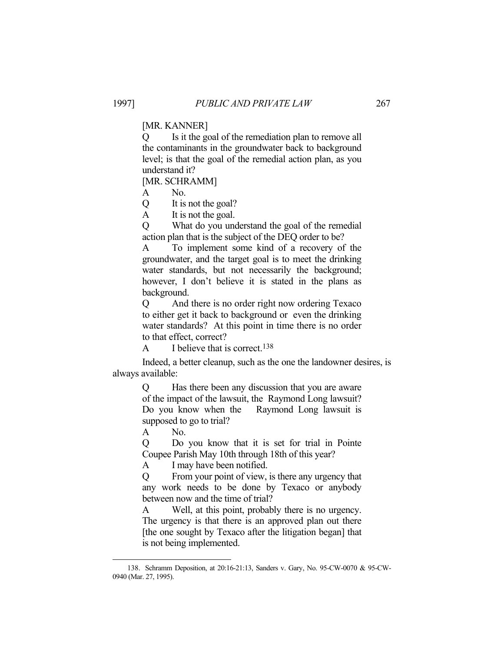## [MR. KANNER]

Q Is it the goal of the remediation plan to remove all the contaminants in the groundwater back to background level; is that the goal of the remedial action plan, as you understand it?

[MR. SCHRAMM]

A No.

Q It is not the goal?

A It is not the goal.

Q What do you understand the goal of the remedial action plan that is the subject of the DEQ order to be?

A To implement some kind of a recovery of the groundwater, and the target goal is to meet the drinking water standards, but not necessarily the background; however, I don't believe it is stated in the plans as background.

Q And there is no order right now ordering Texaco to either get it back to background or even the drinking water standards? At this point in time there is no order to that effect, correct?

A I believe that is correct.<sup>138</sup>

 Indeed, a better cleanup, such as the one the landowner desires, is always available:

> Q Has there been any discussion that you are aware of the impact of the lawsuit, the Raymond Long lawsuit? Do you know when the Raymond Long lawsuit is supposed to go to trial?

A No.

<u>.</u>

Q Do you know that it is set for trial in Pointe Coupee Parish May 10th through 18th of this year?

A I may have been notified.

Q From your point of view, is there any urgency that any work needs to be done by Texaco or anybody between now and the time of trial?

A Well, at this point, probably there is no urgency. The urgency is that there is an approved plan out there [the one sought by Texaco after the litigation began] that is not being implemented.

 <sup>138.</sup> Schramm Deposition, at 20:16-21:13, Sanders v. Gary, No. 95-CW-0070 & 95-CW-0940 (Mar. 27, 1995).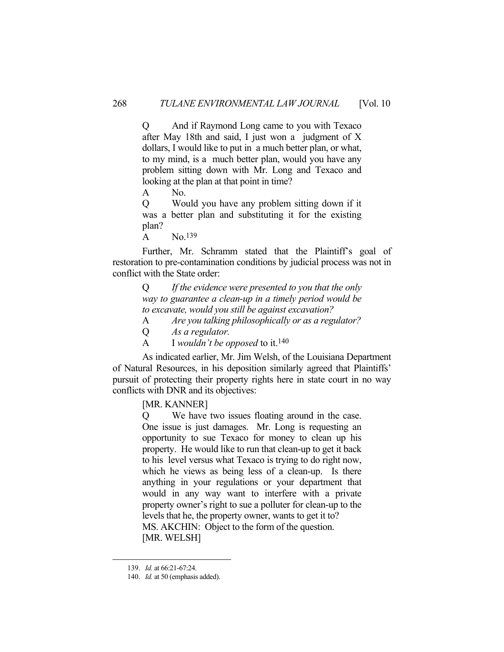Q And if Raymond Long came to you with Texaco after May 18th and said, I just won a judgment of X dollars, I would like to put in a much better plan, or what, to my mind, is a much better plan, would you have any problem sitting down with Mr. Long and Texaco and looking at the plan at that point in time?

A No.

Q Would you have any problem sitting down if it was a better plan and substituting it for the existing plan?

 $\overline{A}$  No.<sup>139</sup>

 Further, Mr. Schramm stated that the Plaintiff's goal of restoration to pre-contamination conditions by judicial process was not in conflict with the State order:

> Q *If the evidence were presented to you that the only way to guarantee a clean-up in a timely period would be to excavate, would you still be against excavation?*

- A *Are you talking philosophically or as a regulator?*
- Q *As a regulator.*
- A I *wouldn't be opposed* to it.140

 As indicated earlier, Mr. Jim Welsh, of the Louisiana Department of Natural Resources, in his deposition similarly agreed that Plaintiffs' pursuit of protecting their property rights here in state court in no way conflicts with DNR and its objectives:

[MR. KANNER]

Q We have two issues floating around in the case. One issue is just damages. Mr. Long is requesting an opportunity to sue Texaco for money to clean up his property. He would like to run that clean-up to get it back to his level versus what Texaco is trying to do right now, which he views as being less of a clean-up. Is there anything in your regulations or your department that would in any way want to interfere with a private property owner's right to sue a polluter for clean-up to the levels that he, the property owner, wants to get it to? MS. AKCHIN: Object to the form of the question. [MR. WELSH]

 <sup>139.</sup> *Id.* at 66:21-67:24.

 <sup>140.</sup> *Id.* at 50 (emphasis added).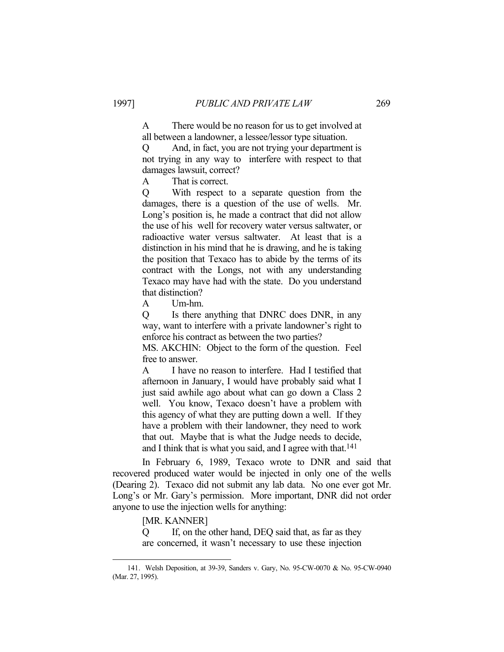A There would be no reason for us to get involved at all between a landowner, a lessee/lessor type situation.

Q And, in fact, you are not trying your department is not trying in any way to interfere with respect to that damages lawsuit, correct?

A That is correct.

Q With respect to a separate question from the damages, there is a question of the use of wells. Mr. Long's position is, he made a contract that did not allow the use of his well for recovery water versus saltwater, or radioactive water versus saltwater. At least that is a distinction in his mind that he is drawing, and he is taking the position that Texaco has to abide by the terms of its contract with the Longs, not with any understanding Texaco may have had with the state. Do you understand that distinction?

A Um-hm.

Q Is there anything that DNRC does DNR, in any way, want to interfere with a private landowner's right to enforce his contract as between the two parties?

MS. AKCHIN: Object to the form of the question. Feel free to answer.

A I have no reason to interfere. Had I testified that afternoon in January, I would have probably said what I just said awhile ago about what can go down a Class 2 well. You know, Texaco doesn't have a problem with this agency of what they are putting down a well. If they have a problem with their landowner, they need to work that out. Maybe that is what the Judge needs to decide, and I think that is what you said, and I agree with that.<sup>141</sup>

 In February 6, 1989, Texaco wrote to DNR and said that recovered produced water would be injected in only one of the wells (Dearing 2). Texaco did not submit any lab data. No one ever got Mr. Long's or Mr. Gary's permission. More important, DNR did not order anyone to use the injection wells for anything:

[MR. KANNER]

<u>.</u>

Q If, on the other hand, DEQ said that, as far as they are concerned, it wasn't necessary to use these injection

 <sup>141.</sup> Welsh Deposition, at 39-39, Sanders v. Gary, No. 95-CW-0070 & No. 95-CW-0940 (Mar. 27, 1995).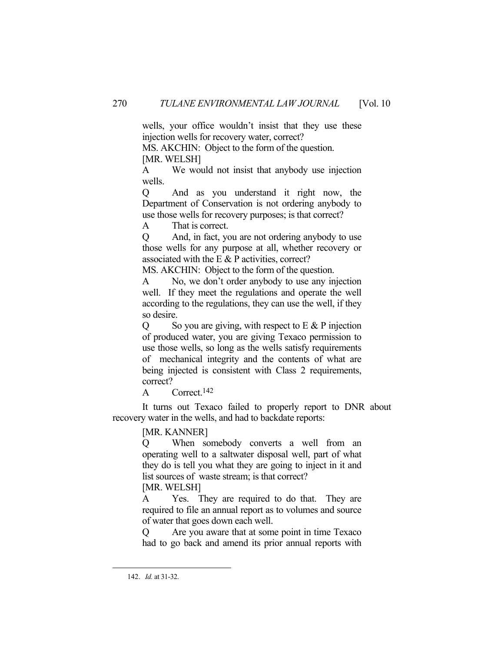wells, your office wouldn't insist that they use these injection wells for recovery water, correct?

MS. AKCHIN: Object to the form of the question. [MR. WELSH]

A We would not insist that anybody use injection wells.

Q And as you understand it right now, the Department of Conservation is not ordering anybody to use those wells for recovery purposes; is that correct?

A That is correct.

Q And, in fact, you are not ordering anybody to use those wells for any purpose at all, whether recovery or associated with the  $E \& P$  activities, correct?

MS. AKCHIN: Object to the form of the question.

A No, we don't order anybody to use any injection well. If they meet the regulations and operate the well according to the regulations, they can use the well, if they so desire.

 $Q$  So you are giving, with respect to E & P injection of produced water, you are giving Texaco permission to use those wells, so long as the wells satisfy requirements of mechanical integrity and the contents of what are being injected is consistent with Class 2 requirements, correct?

A Correct.<sup>142</sup>

 It turns out Texaco failed to properly report to DNR about recovery water in the wells, and had to backdate reports:

[MR. KANNER]

Q When somebody converts a well from an operating well to a saltwater disposal well, part of what they do is tell you what they are going to inject in it and list sources of waste stream; is that correct? [MR. WELSH]

A Yes. They are required to do that. They are required to file an annual report as to volumes and source of water that goes down each well.

Q Are you aware that at some point in time Texaco had to go back and amend its prior annual reports with

 <sup>142.</sup> *Id.* at 31-32.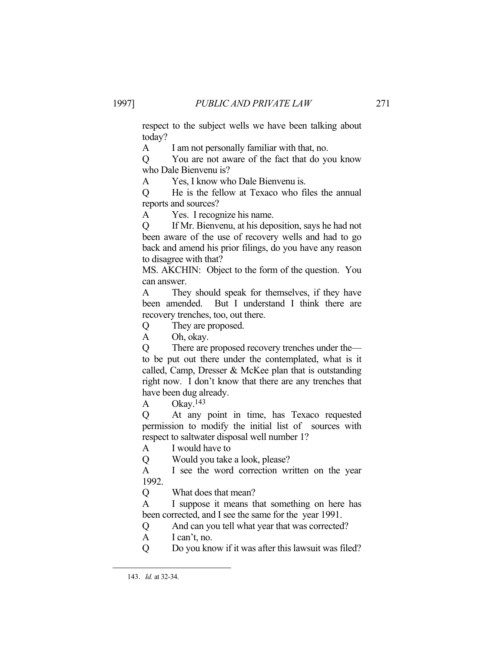respect to the subject wells we have been talking about today?

A I am not personally familiar with that, no.

Q You are not aware of the fact that do you know who Dale Bienvenu is?

A Yes, I know who Dale Bienvenu is.

Q He is the fellow at Texaco who files the annual reports and sources?

A Yes. I recognize his name.

Q If Mr. Bienvenu, at his deposition, says he had not been aware of the use of recovery wells and had to go back and amend his prior filings, do you have any reason to disagree with that?

MS. AKCHIN: Object to the form of the question. You can answer.

A They should speak for themselves, if they have been amended. But I understand I think there are recovery trenches, too, out there.

Q They are proposed.

A Oh, okay.

Q There are proposed recovery trenches under the to be put out there under the contemplated, what is it called, Camp, Dresser & McKee plan that is outstanding right now. I don't know that there are any trenches that have been dug already.

A Okay.<sup>143</sup>

Q At any point in time, has Texaco requested permission to modify the initial list of sources with respect to saltwater disposal well number 1?

A I would have to

Q Would you take a look, please?

A I see the word correction written on the year 1992.

Q What does that mean?

A I suppose it means that something on here has been corrected, and I see the same for the year 1991.

Q And can you tell what year that was corrected?

- A I can't, no.
- Q Do you know if it was after this lawsuit was filed?

 <sup>143.</sup> *Id.* at 32-34.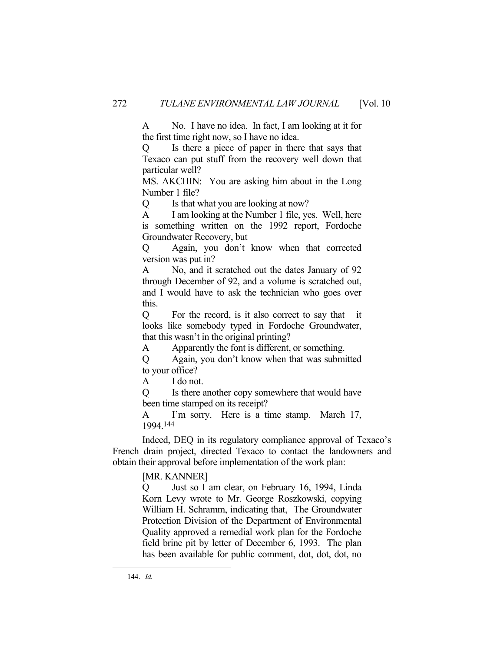A No. I have no idea. In fact, I am looking at it for the first time right now, so I have no idea.

Q Is there a piece of paper in there that says that Texaco can put stuff from the recovery well down that particular well?

MS. AKCHIN: You are asking him about in the Long Number 1 file?

Q Is that what you are looking at now?

A I am looking at the Number 1 file, yes. Well, here is something written on the 1992 report, Fordoche Groundwater Recovery, but

Q Again, you don't know when that corrected version was put in?

A No, and it scratched out the dates January of 92 through December of 92, and a volume is scratched out, and I would have to ask the technician who goes over this.

Q For the record, is it also correct to say that it looks like somebody typed in Fordoche Groundwater, that this wasn't in the original printing?

A Apparently the font is different, or something.

Q Again, you don't know when that was submitted to your office?

A I do not.

Q Is there another copy somewhere that would have been time stamped on its receipt?

A I'm sorry. Here is a time stamp. March 17, 1994.144

 Indeed, DEQ in its regulatory compliance approval of Texaco's French drain project, directed Texaco to contact the landowners and obtain their approval before implementation of the work plan:

[MR. KANNER]

Q Just so I am clear, on February 16, 1994, Linda Korn Levy wrote to Mr. George Roszkowski, copying William H. Schramm, indicating that, The Groundwater Protection Division of the Department of Environmental Quality approved a remedial work plan for the Fordoche field brine pit by letter of December 6, 1993. The plan has been available for public comment, dot, dot, dot, no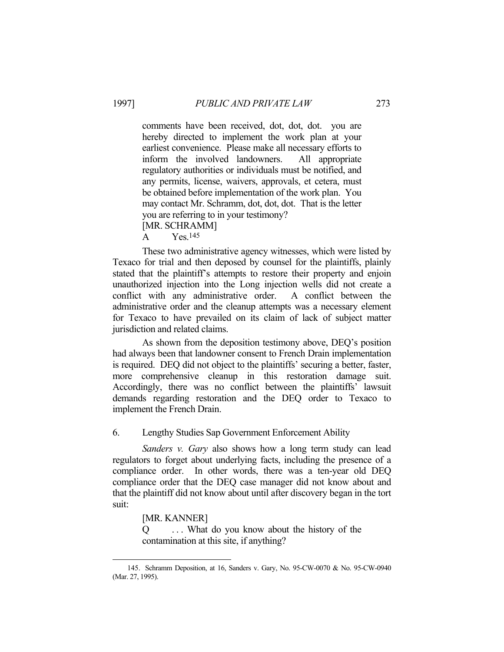comments have been received, dot, dot, dot. you are hereby directed to implement the work plan at your earliest convenience. Please make all necessary efforts to inform the involved landowners. All appropriate regulatory authorities or individuals must be notified, and any permits, license, waivers, approvals, et cetera, must be obtained before implementation of the work plan. You may contact Mr. Schramm, dot, dot, dot. That is the letter you are referring to in your testimony? [MR. SCHRAMM]

A Yes.145

 These two administrative agency witnesses, which were listed by Texaco for trial and then deposed by counsel for the plaintiffs, plainly stated that the plaintiff's attempts to restore their property and enjoin unauthorized injection into the Long injection wells did not create a conflict with any administrative order. A conflict between the administrative order and the cleanup attempts was a necessary element for Texaco to have prevailed on its claim of lack of subject matter jurisdiction and related claims.

 As shown from the deposition testimony above, DEQ's position had always been that landowner consent to French Drain implementation is required. DEQ did not object to the plaintiffs' securing a better, faster, more comprehensive cleanup in this restoration damage suit. Accordingly, there was no conflict between the plaintiffs' lawsuit demands regarding restoration and the DEQ order to Texaco to implement the French Drain.

6. Lengthy Studies Sap Government Enforcement Ability

 *Sanders v. Gary* also shows how a long term study can lead regulators to forget about underlying facts, including the presence of a compliance order. In other words, there was a ten-year old DEQ compliance order that the DEQ case manager did not know about and that the plaintiff did not know about until after discovery began in the tort suit:

[MR. KANNER]

<u>.</u>

Q . . . What do you know about the history of the contamination at this site, if anything?

 <sup>145.</sup> Schramm Deposition, at 16, Sanders v. Gary, No. 95-CW-0070 & No. 95-CW-0940 (Mar. 27, 1995).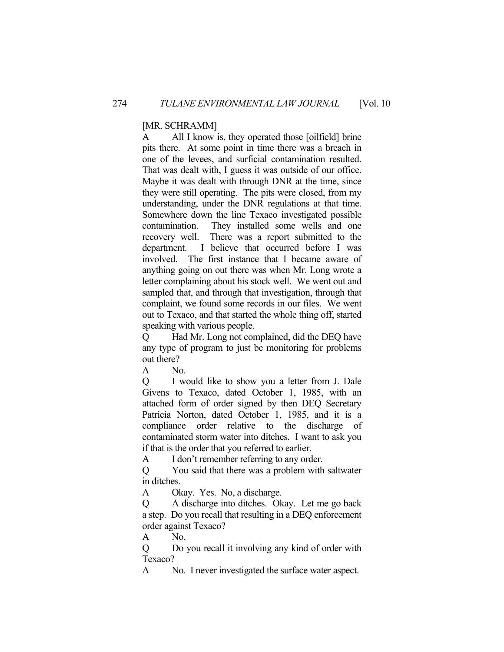## [MR. SCHRAMM]

A All I know is, they operated those [oilfield] brine pits there. At some point in time there was a breach in one of the levees, and surficial contamination resulted. That was dealt with, I guess it was outside of our office. Maybe it was dealt with through DNR at the time, since they were still operating. The pits were closed, from my understanding, under the DNR regulations at that time. Somewhere down the line Texaco investigated possible contamination. They installed some wells and one recovery well. There was a report submitted to the department. I believe that occurred before I was involved. The first instance that I became aware of anything going on out there was when Mr. Long wrote a letter complaining about his stock well. We went out and sampled that, and through that investigation, through that complaint, we found some records in our files. We went out to Texaco, and that started the whole thing off, started speaking with various people.

Q Had Mr. Long not complained, did the DEQ have any type of program to just be monitoring for problems out there?

A No.

Q I would like to show you a letter from J. Dale Givens to Texaco, dated October 1, 1985, with an attached form of order signed by then DEQ Secretary Patricia Norton, dated October 1, 1985, and it is a compliance order relative to the discharge of contaminated storm water into ditches. I want to ask you if that is the order that you referred to earlier.

A I don't remember referring to any order.

Q You said that there was a problem with saltwater in ditches.

A Okay. Yes. No, a discharge.

Q A discharge into ditches. Okay. Let me go back a step. Do you recall that resulting in a DEQ enforcement order against Texaco?

A No.

Q Do you recall it involving any kind of order with Texaco?

A No. I never investigated the surface water aspect.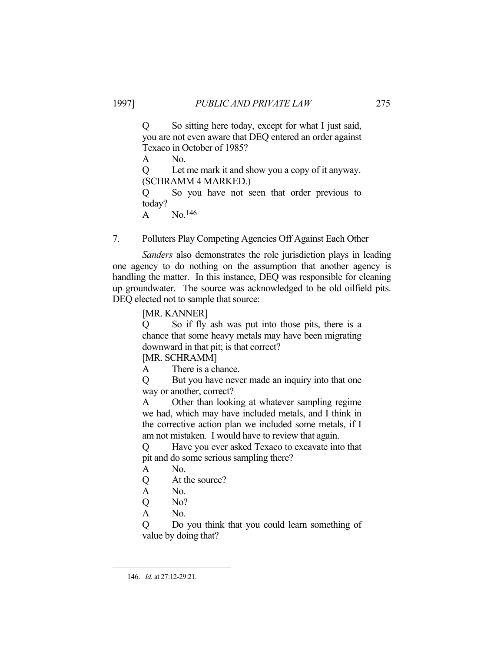Q So sitting here today, except for what I just said, you are not even aware that DEQ entered an order against Texaco in October of 1985?

A No.

Q Let me mark it and show you a copy of it anyway. (SCHRAMM 4 MARKED.)

Q So you have not seen that order previous to today?

A No.146

7. Polluters Play Competing Agencies Off Against Each Other

 *Sanders* also demonstrates the role jurisdiction plays in leading one agency to do nothing on the assumption that another agency is handling the matter. In this instance, DEQ was responsible for cleaning up groundwater. The source was acknowledged to be old oilfield pits. DEQ elected not to sample that source:

[MR. KANNER]

Q So if fly ash was put into those pits, there is a chance that some heavy metals may have been migrating downward in that pit; is that correct?

[MR. SCHRAMM]

A There is a chance.

Q But you have never made an inquiry into that one way or another, correct?

A Other than looking at whatever sampling regime we had, which may have included metals, and I think in the corrective action plan we included some metals, if I am not mistaken. I would have to review that again.

Q Have you ever asked Texaco to excavate into that pit and do some serious sampling there?

- A No.
- Q At the source?
- A No.
- Q No?
- A No.

Q Do you think that you could learn something of value by doing that?

 <sup>146.</sup> *Id.* at 27:12-29:21.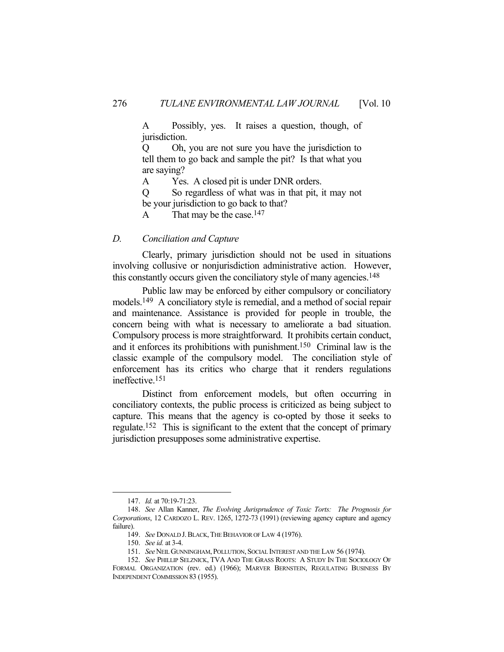A Possibly, yes. It raises a question, though, of jurisdiction.

Q Oh, you are not sure you have the jurisdiction to tell them to go back and sample the pit? Is that what you are saying?

A Yes. A closed pit is under DNR orders.

Q So regardless of what was in that pit, it may not be your jurisdiction to go back to that?

A That may be the case.<sup>147</sup>

## *D. Conciliation and Capture*

 Clearly, primary jurisdiction should not be used in situations involving collusive or nonjurisdiction administrative action. However, this constantly occurs given the conciliatory style of many agencies.148

 Public law may be enforced by either compulsory or conciliatory models.149 A conciliatory style is remedial, and a method of social repair and maintenance. Assistance is provided for people in trouble, the concern being with what is necessary to ameliorate a bad situation. Compulsory process is more straightforward. It prohibits certain conduct, and it enforces its prohibitions with punishment.150 Criminal law is the classic example of the compulsory model. The conciliation style of enforcement has its critics who charge that it renders regulations ineffective.151

 Distinct from enforcement models, but often occurring in conciliatory contexts, the public process is criticized as being subject to capture. This means that the agency is co-opted by those it seeks to regulate.152 This is significant to the extent that the concept of primary jurisdiction presupposes some administrative expertise.

 <sup>147.</sup> *Id.* at 70:19-71:23.

 <sup>148.</sup> *See* Allan Kanner, *The Evolving Jurisprudence of Toxic Torts: The Prognosis for Corporations*, 12 CARDOZO L. REV. 1265, 1272-73 (1991) (reviewing agency capture and agency failure).

 <sup>149.</sup> *See* DONALD J.BLACK,THE BEHAVIOR OF LAW 4 (1976).

 <sup>150.</sup> *See id.* at 3-4.

 <sup>151.</sup> *See*NEIL GUNNINGHAM, POLLUTION, SOCIAL INTEREST AND THE LAW 56 (1974).

 <sup>152.</sup> *See* PHILLIP SELZNICK, TVA AND THE GRASS ROOTS: A STUDY IN THE SOCIOLOGY OF FORMAL ORGANIZATION (rev. ed.) (1966); MARVER BERNSTEIN, REGULATING BUSINESS BY INDEPENDENT COMMISSION 83 (1955).